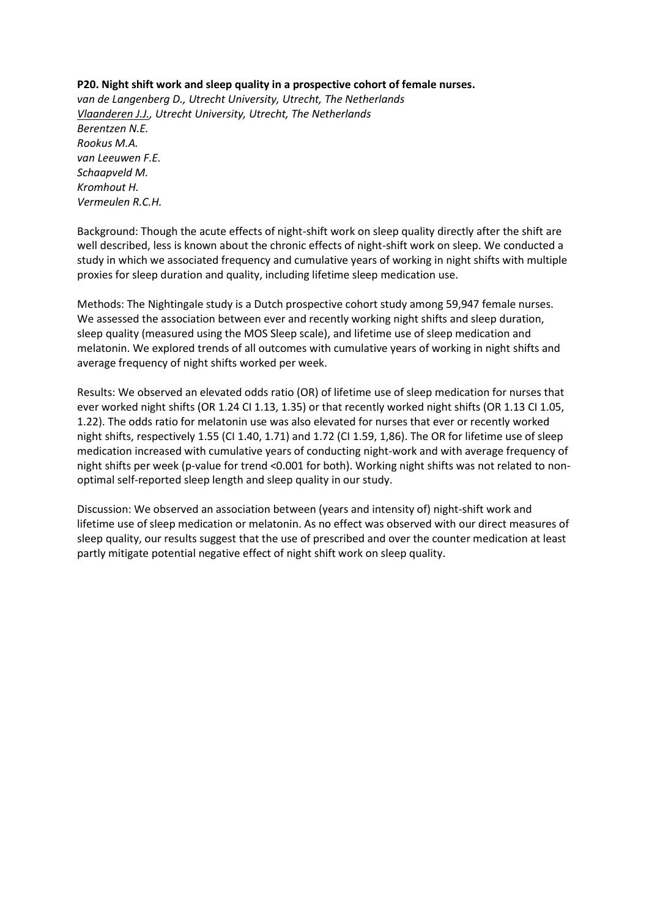# **P20. Night shift work and sleep quality in a prospective cohort of female nurses.**

*van de Langenberg D., Utrecht University, Utrecht, The Netherlands Vlaanderen J.J., Utrecht University, Utrecht, The Netherlands Berentzen N.E. Rookus M.A. van Leeuwen F.E. Schaapveld M. Kromhout H. Vermeulen R.C.H.*

Background: Though the acute effects of night-shift work on sleep quality directly after the shift are well described, less is known about the chronic effects of night-shift work on sleep. We conducted a study in which we associated frequency and cumulative years of working in night shifts with multiple proxies for sleep duration and quality, including lifetime sleep medication use.

Methods: The Nightingale study is a Dutch prospective cohort study among 59,947 female nurses. We assessed the association between ever and recently working night shifts and sleep duration, sleep quality (measured using the MOS Sleep scale), and lifetime use of sleep medication and melatonin. We explored trends of all outcomes with cumulative years of working in night shifts and average frequency of night shifts worked per week.

Results: We observed an elevated odds ratio (OR) of lifetime use of sleep medication for nurses that ever worked night shifts (OR 1.24 CI 1.13, 1.35) or that recently worked night shifts (OR 1.13 CI 1.05, 1.22). The odds ratio for melatonin use was also elevated for nurses that ever or recently worked night shifts, respectively 1.55 (CI 1.40, 1.71) and 1.72 (CI 1.59, 1,86). The OR for lifetime use of sleep medication increased with cumulative years of conducting night-work and with average frequency of night shifts per week (p-value for trend <0.001 for both). Working night shifts was not related to nonoptimal self-reported sleep length and sleep quality in our study.

Discussion: We observed an association between (years and intensity of) night-shift work and lifetime use of sleep medication or melatonin. As no effect was observed with our direct measures of sleep quality, our results suggest that the use of prescribed and over the counter medication at least partly mitigate potential negative effect of night shift work on sleep quality.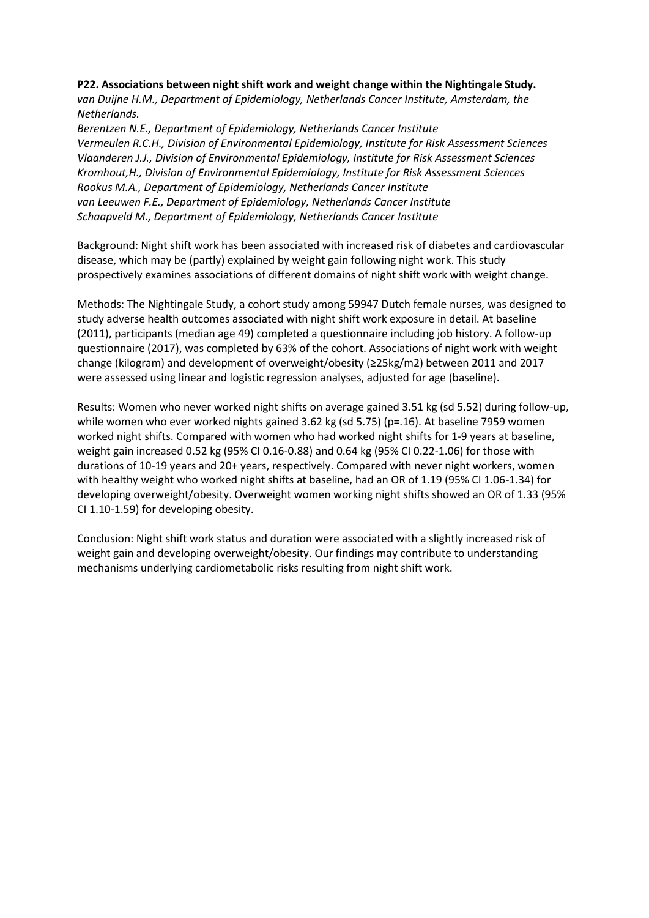#### **P22. Associations between night shift work and weight change within the Nightingale Study.**

*van Duijne H.M., Department of Epidemiology, Netherlands Cancer Institute, Amsterdam, the Netherlands.* 

*Berentzen N.E., Department of Epidemiology, Netherlands Cancer Institute Vermeulen R.C.H., Division of Environmental Epidemiology, Institute for Risk Assessment Sciences Vlaanderen J.J., Division of Environmental Epidemiology, Institute for Risk Assessment Sciences Kromhout,H., Division of Environmental Epidemiology, Institute for Risk Assessment Sciences Rookus M.A., Department of Epidemiology, Netherlands Cancer Institute van Leeuwen F.E., Department of Epidemiology, Netherlands Cancer Institute Schaapveld M., Department of Epidemiology, Netherlands Cancer Institute*

Background: Night shift work has been associated with increased risk of diabetes and cardiovascular disease, which may be (partly) explained by weight gain following night work. This study prospectively examines associations of different domains of night shift work with weight change.

Methods: The Nightingale Study, a cohort study among 59947 Dutch female nurses, was designed to study adverse health outcomes associated with night shift work exposure in detail. At baseline (2011), participants (median age 49) completed a questionnaire including job history. A follow-up questionnaire (2017), was completed by 63% of the cohort. Associations of night work with weight change (kilogram) and development of overweight/obesity (≥25kg/m2) between 2011 and 2017 were assessed using linear and logistic regression analyses, adjusted for age (baseline).

Results: Women who never worked night shifts on average gained 3.51 kg (sd 5.52) during follow-up, while women who ever worked nights gained 3.62 kg (sd 5.75) (p=.16). At baseline 7959 women worked night shifts. Compared with women who had worked night shifts for 1-9 years at baseline, weight gain increased 0.52 kg (95% CI 0.16-0.88) and 0.64 kg (95% CI 0.22-1.06) for those with durations of 10-19 years and 20+ years, respectively. Compared with never night workers, women with healthy weight who worked night shifts at baseline, had an OR of 1.19 (95% CI 1.06-1.34) for developing overweight/obesity. Overweight women working night shifts showed an OR of 1.33 (95% CI 1.10-1.59) for developing obesity.

Conclusion: Night shift work status and duration were associated with a slightly increased risk of weight gain and developing overweight/obesity. Our findings may contribute to understanding mechanisms underlying cardiometabolic risks resulting from night shift work.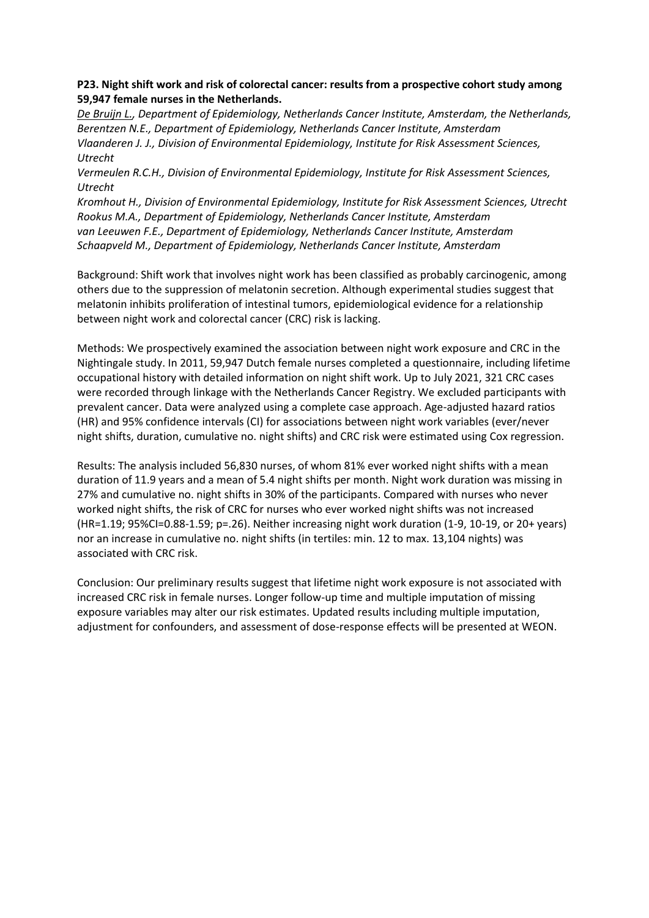# **P23. Night shift work and risk of colorectal cancer: results from a prospective cohort study among 59,947 female nurses in the Netherlands.**

*De Bruijn L., Department of Epidemiology, Netherlands Cancer Institute, Amsterdam, the Netherlands, Berentzen N.E., Department of Epidemiology, Netherlands Cancer Institute, Amsterdam Vlaanderen J. J., Division of Environmental Epidemiology, Institute for Risk Assessment Sciences, Utrecht*

*Vermeulen R.C.H., Division of Environmental Epidemiology, Institute for Risk Assessment Sciences, Utrecht*

*Kromhout H., Division of Environmental Epidemiology, Institute for Risk Assessment Sciences, Utrecht Rookus M.A., Department of Epidemiology, Netherlands Cancer Institute, Amsterdam van Leeuwen F.E., Department of Epidemiology, Netherlands Cancer Institute, Amsterdam Schaapveld M., Department of Epidemiology, Netherlands Cancer Institute, Amsterdam*

Background: Shift work that involves night work has been classified as probably carcinogenic, among others due to the suppression of melatonin secretion. Although experimental studies suggest that melatonin inhibits proliferation of intestinal tumors, epidemiological evidence for a relationship between night work and colorectal cancer (CRC) risk is lacking.

Methods: We prospectively examined the association between night work exposure and CRC in the Nightingale study. In 2011, 59,947 Dutch female nurses completed a questionnaire, including lifetime occupational history with detailed information on night shift work. Up to July 2021, 321 CRC cases were recorded through linkage with the Netherlands Cancer Registry. We excluded participants with prevalent cancer. Data were analyzed using a complete case approach. Age-adjusted hazard ratios (HR) and 95% confidence intervals (CI) for associations between night work variables (ever/never night shifts, duration, cumulative no. night shifts) and CRC risk were estimated using Cox regression.

Results: The analysis included 56,830 nurses, of whom 81% ever worked night shifts with a mean duration of 11.9 years and a mean of 5.4 night shifts per month. Night work duration was missing in 27% and cumulative no. night shifts in 30% of the participants. Compared with nurses who never worked night shifts, the risk of CRC for nurses who ever worked night shifts was not increased (HR=1.19; 95%CI=0.88-1.59; p=.26). Neither increasing night work duration (1-9, 10-19, or 20+ years) nor an increase in cumulative no. night shifts (in tertiles: min. 12 to max. 13,104 nights) was associated with CRC risk.

Conclusion: Our preliminary results suggest that lifetime night work exposure is not associated with increased CRC risk in female nurses. Longer follow-up time and multiple imputation of missing exposure variables may alter our risk estimates. Updated results including multiple imputation, adjustment for confounders, and assessment of dose-response effects will be presented at WEON.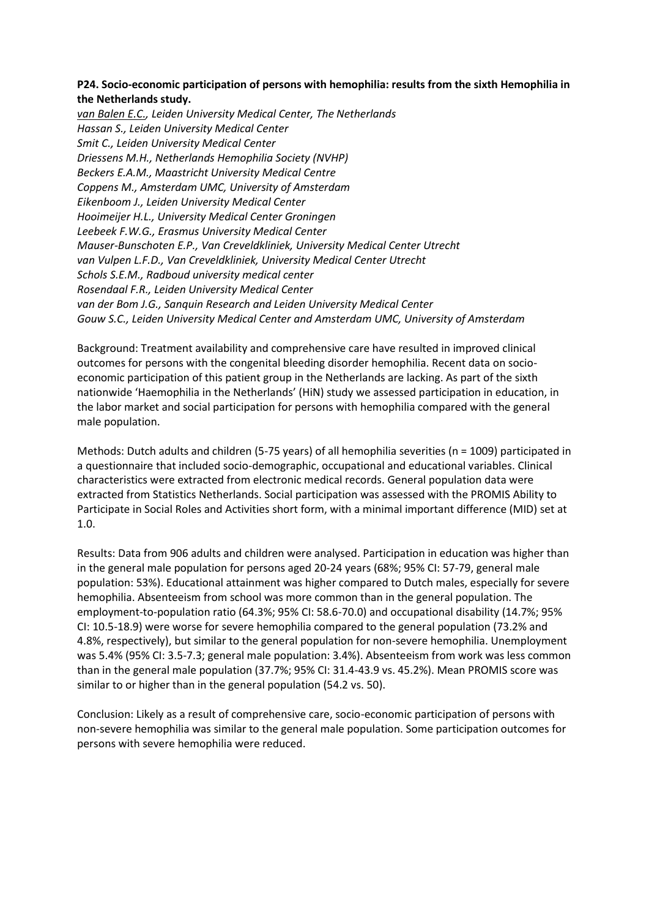# **P24. Socio-economic participation of persons with hemophilia: results from the sixth Hemophilia in the Netherlands study.**

*van Balen E.C., Leiden University Medical Center, The Netherlands Hassan S., Leiden University Medical Center Smit C., Leiden University Medical Center Driessens M.H., Netherlands Hemophilia Society (NVHP) Beckers E.A.M., Maastricht University Medical Centre Coppens M., Amsterdam UMC, University of Amsterdam Eikenboom J., Leiden University Medical Center Hooimeijer H.L., University Medical Center Groningen Leebeek F.W.G., Erasmus University Medical Center Mauser-Bunschoten E.P., Van Creveldkliniek, University Medical Center Utrecht van Vulpen L.F.D., Van Creveldkliniek, University Medical Center Utrecht Schols S.E.M., Radboud university medical center Rosendaal F.R., Leiden University Medical Center van der Bom J.G., Sanquin Research and Leiden University Medical Center Gouw S.C., Leiden University Medical Center and Amsterdam UMC, University of Amsterdam*

Background: Treatment availability and comprehensive care have resulted in improved clinical outcomes for persons with the congenital bleeding disorder hemophilia. Recent data on socioeconomic participation of this patient group in the Netherlands are lacking. As part of the sixth nationwide 'Haemophilia in the Netherlands' (HiN) study we assessed participation in education, in the labor market and social participation for persons with hemophilia compared with the general male population.

Methods: Dutch adults and children (5-75 years) of all hemophilia severities (n = 1009) participated in a questionnaire that included socio-demographic, occupational and educational variables. Clinical characteristics were extracted from electronic medical records. General population data were extracted from Statistics Netherlands. Social participation was assessed with the PROMIS Ability to Participate in Social Roles and Activities short form, with a minimal important difference (MID) set at 1.0.

Results: Data from 906 adults and children were analysed. Participation in education was higher than in the general male population for persons aged 20-24 years (68%; 95% CI: 57-79, general male population: 53%). Educational attainment was higher compared to Dutch males, especially for severe hemophilia. Absenteeism from school was more common than in the general population. The employment-to-population ratio (64.3%; 95% CI: 58.6-70.0) and occupational disability (14.7%; 95% CI: 10.5-18.9) were worse for severe hemophilia compared to the general population (73.2% and 4.8%, respectively), but similar to the general population for non-severe hemophilia. Unemployment was 5.4% (95% CI: 3.5-7.3; general male population: 3.4%). Absenteeism from work was less common than in the general male population (37.7%; 95% CI: 31.4-43.9 vs. 45.2%). Mean PROMIS score was similar to or higher than in the general population (54.2 vs. 50).

Conclusion: Likely as a result of comprehensive care, socio-economic participation of persons with non-severe hemophilia was similar to the general male population. Some participation outcomes for persons with severe hemophilia were reduced.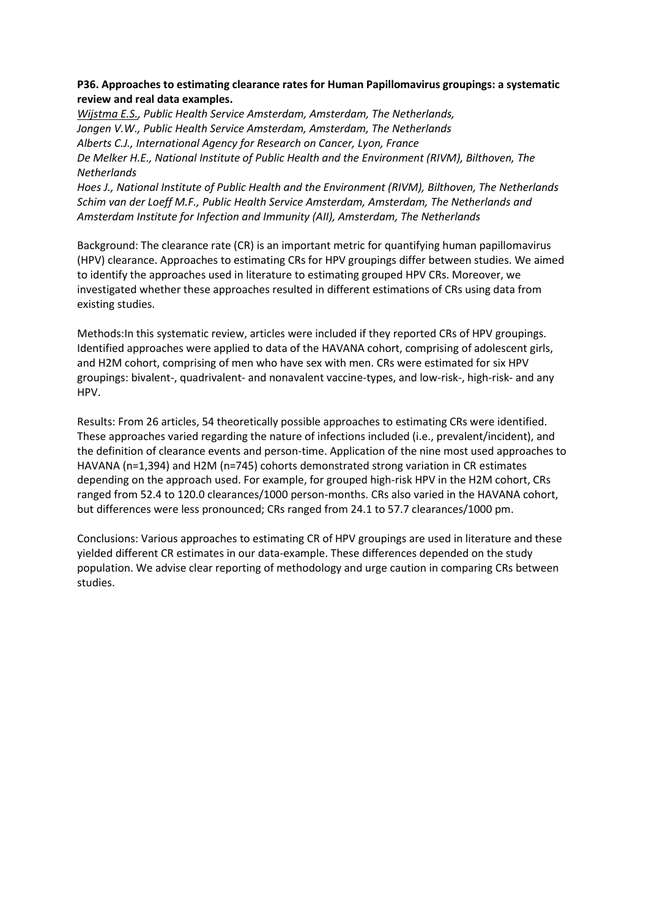# **P36. Approaches to estimating clearance rates for Human Papillomavirus groupings: a systematic review and real data examples.**

*Wijstma E.S., Public Health Service Amsterdam, Amsterdam, The Netherlands, Jongen V.W., Public Health Service Amsterdam, Amsterdam, The Netherlands Alberts C.J., International Agency for Research on Cancer, Lyon, France De Melker H.E., National Institute of Public Health and the Environment (RIVM), Bilthoven, The Netherlands Hoes J., National Institute of Public Health and the Environment (RIVM), Bilthoven, The Netherlands*

*Schim van der Loeff M.F., Public Health Service Amsterdam, Amsterdam, The Netherlands and Amsterdam Institute for Infection and Immunity (AII), Amsterdam, The Netherlands*

Background: The clearance rate (CR) is an important metric for quantifying human papillomavirus (HPV) clearance. Approaches to estimating CRs for HPV groupings differ between studies. We aimed to identify the approaches used in literature to estimating grouped HPV CRs. Moreover, we investigated whether these approaches resulted in different estimations of CRs using data from existing studies.

Methods:In this systematic review, articles were included if they reported CRs of HPV groupings. Identified approaches were applied to data of the HAVANA cohort, comprising of adolescent girls, and H2M cohort, comprising of men who have sex with men. CRs were estimated for six HPV groupings: bivalent-, quadrivalent- and nonavalent vaccine-types, and low-risk-, high-risk- and any HPV.

Results: From 26 articles, 54 theoretically possible approaches to estimating CRs were identified. These approaches varied regarding the nature of infections included (i.e., prevalent/incident), and the definition of clearance events and person-time. Application of the nine most used approaches to HAVANA (n=1,394) and H2M (n=745) cohorts demonstrated strong variation in CR estimates depending on the approach used. For example, for grouped high-risk HPV in the H2M cohort, CRs ranged from 52.4 to 120.0 clearances/1000 person-months. CRs also varied in the HAVANA cohort, but differences were less pronounced; CRs ranged from 24.1 to 57.7 clearances/1000 pm.

Conclusions: Various approaches to estimating CR of HPV groupings are used in literature and these yielded different CR estimates in our data-example. These differences depended on the study population. We advise clear reporting of methodology and urge caution in comparing CRs between studies.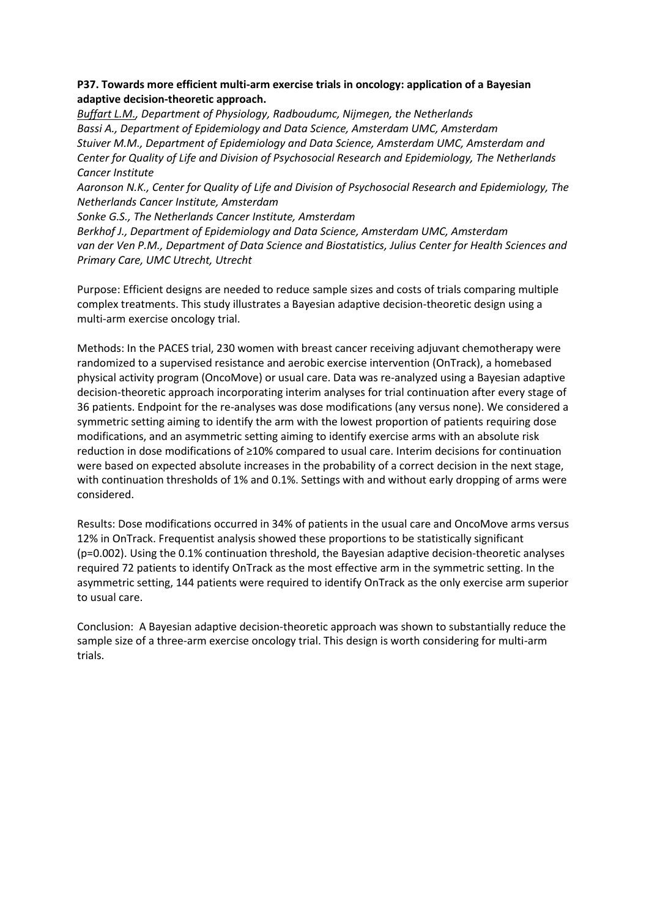# **P37. Towards more efficient multi-arm exercise trials in oncology: application of a Bayesian adaptive decision-theoretic approach.**

*Buffart L.M., Department of Physiology, Radboudumc, Nijmegen, the Netherlands Bassi A., Department of Epidemiology and Data Science, Amsterdam UMC, Amsterdam Stuiver M.M., Department of Epidemiology and Data Science, Amsterdam UMC, Amsterdam and Center for Quality of Life and Division of Psychosocial Research and Epidemiology, The Netherlands Cancer Institute*

*Aaronson N.K., Center for Quality of Life and Division of Psychosocial Research and Epidemiology, The Netherlands Cancer Institute, Amsterdam* 

*Sonke G.S., The Netherlands Cancer Institute, Amsterdam*

*Berkhof J., Department of Epidemiology and Data Science, Amsterdam UMC, Amsterdam van der Ven P.M., Department of Data Science and Biostatistics, Julius Center for Health Sciences and Primary Care, UMC Utrecht, Utrecht*

Purpose: Efficient designs are needed to reduce sample sizes and costs of trials comparing multiple complex treatments. This study illustrates a Bayesian adaptive decision-theoretic design using a multi-arm exercise oncology trial.

Methods: In the PACES trial, 230 women with breast cancer receiving adjuvant chemotherapy were randomized to a supervised resistance and aerobic exercise intervention (OnTrack), a homebased physical activity program (OncoMove) or usual care. Data was re-analyzed using a Bayesian adaptive decision-theoretic approach incorporating interim analyses for trial continuation after every stage of 36 patients. Endpoint for the re-analyses was dose modifications (any versus none). We considered a symmetric setting aiming to identify the arm with the lowest proportion of patients requiring dose modifications, and an asymmetric setting aiming to identify exercise arms with an absolute risk reduction in dose modifications of ≥10% compared to usual care. Interim decisions for continuation were based on expected absolute increases in the probability of a correct decision in the next stage, with continuation thresholds of 1% and 0.1%. Settings with and without early dropping of arms were considered.

Results: Dose modifications occurred in 34% of patients in the usual care and OncoMove arms versus 12% in OnTrack. Frequentist analysis showed these proportions to be statistically significant (p=0.002). Using the 0.1% continuation threshold, the Bayesian adaptive decision-theoretic analyses required 72 patients to identify OnTrack as the most effective arm in the symmetric setting. In the asymmetric setting, 144 patients were required to identify OnTrack as the only exercise arm superior to usual care.

Conclusion: A Bayesian adaptive decision-theoretic approach was shown to substantially reduce the sample size of a three-arm exercise oncology trial. This design is worth considering for multi-arm trials.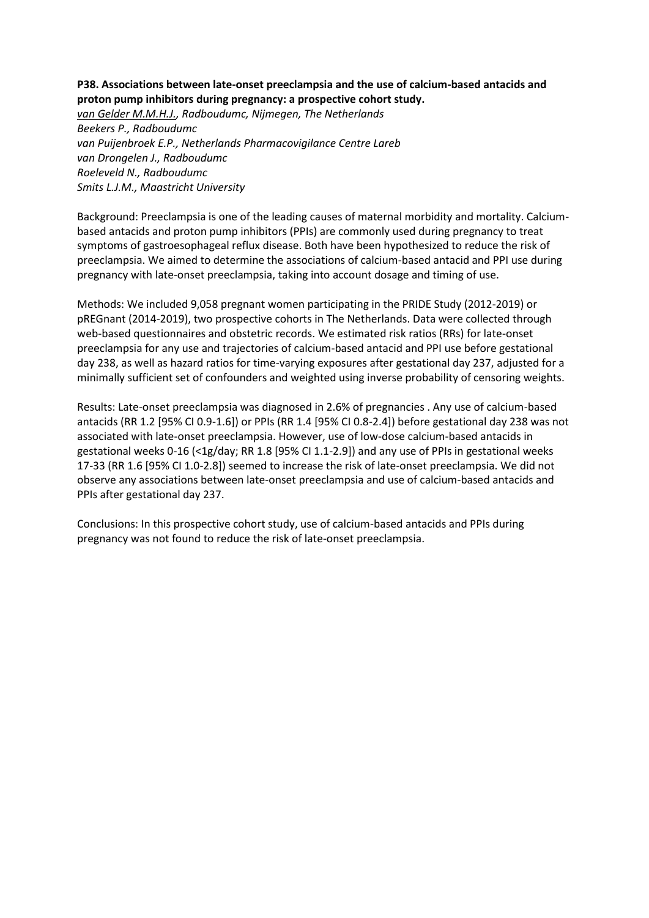# **P38. Associations between late-onset preeclampsia and the use of calcium-based antacids and proton pump inhibitors during pregnancy: a prospective cohort study.**

*van Gelder M.M.H.J., Radboudumc, Nijmegen, The Netherlands Beekers P., Radboudumc van Puijenbroek E.P., Netherlands Pharmacovigilance Centre Lareb van Drongelen J., Radboudumc Roeleveld N., Radboudumc Smits L.J.M., Maastricht University*

Background: Preeclampsia is one of the leading causes of maternal morbidity and mortality. Calciumbased antacids and proton pump inhibitors (PPIs) are commonly used during pregnancy to treat symptoms of gastroesophageal reflux disease. Both have been hypothesized to reduce the risk of preeclampsia. We aimed to determine the associations of calcium-based antacid and PPI use during pregnancy with late-onset preeclampsia, taking into account dosage and timing of use.

Methods: We included 9,058 pregnant women participating in the PRIDE Study (2012-2019) or pREGnant (2014-2019), two prospective cohorts in The Netherlands. Data were collected through web-based questionnaires and obstetric records. We estimated risk ratios (RRs) for late-onset preeclampsia for any use and trajectories of calcium-based antacid and PPI use before gestational day 238, as well as hazard ratios for time-varying exposures after gestational day 237, adjusted for a minimally sufficient set of confounders and weighted using inverse probability of censoring weights.

Results: Late-onset preeclampsia was diagnosed in 2.6% of pregnancies . Any use of calcium-based antacids (RR 1.2 [95% CI 0.9-1.6]) or PPIs (RR 1.4 [95% CI 0.8-2.4]) before gestational day 238 was not associated with late-onset preeclampsia. However, use of low-dose calcium-based antacids in gestational weeks 0-16 (<1g/day; RR 1.8 [95% CI 1.1-2.9]) and any use of PPIs in gestational weeks 17-33 (RR 1.6 [95% CI 1.0-2.8]) seemed to increase the risk of late-onset preeclampsia. We did not observe any associations between late-onset preeclampsia and use of calcium-based antacids and PPIs after gestational day 237.

Conclusions: In this prospective cohort study, use of calcium-based antacids and PPIs during pregnancy was not found to reduce the risk of late-onset preeclampsia.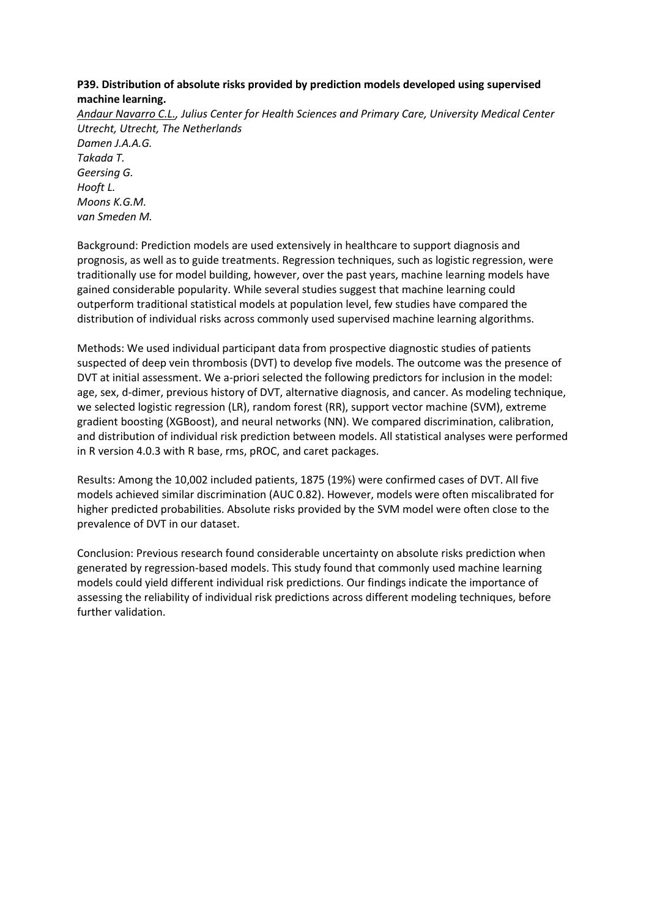# **P39. Distribution of absolute risks provided by prediction models developed using supervised machine learning.**

*Andaur Navarro C.L., Julius Center for Health Sciences and Primary Care, University Medical Center Utrecht, Utrecht, The Netherlands Damen J.A.A.G. Takada T. Geersing G. Hooft L. Moons K.G.M. van Smeden M.*

Background: Prediction models are used extensively in healthcare to support diagnosis and prognosis, as well as to guide treatments. Regression techniques, such as logistic regression, were traditionally use for model building, however, over the past years, machine learning models have gained considerable popularity. While several studies suggest that machine learning could outperform traditional statistical models at population level, few studies have compared the distribution of individual risks across commonly used supervised machine learning algorithms.

Methods: We used individual participant data from prospective diagnostic studies of patients suspected of deep vein thrombosis (DVT) to develop five models. The outcome was the presence of DVT at initial assessment. We a-priori selected the following predictors for inclusion in the model: age, sex, d-dimer, previous history of DVT, alternative diagnosis, and cancer. As modeling technique, we selected logistic regression (LR), random forest (RR), support vector machine (SVM), extreme gradient boosting (XGBoost), and neural networks (NN). We compared discrimination, calibration, and distribution of individual risk prediction between models. All statistical analyses were performed in R version 4.0.3 with R base, rms, pROC, and caret packages.

Results: Among the 10,002 included patients, 1875 (19%) were confirmed cases of DVT. All five models achieved similar discrimination (AUC 0.82). However, models were often miscalibrated for higher predicted probabilities. Absolute risks provided by the SVM model were often close to the prevalence of DVT in our dataset.

Conclusion: Previous research found considerable uncertainty on absolute risks prediction when generated by regression-based models. This study found that commonly used machine learning models could yield different individual risk predictions. Our findings indicate the importance of assessing the reliability of individual risk predictions across different modeling techniques, before further validation.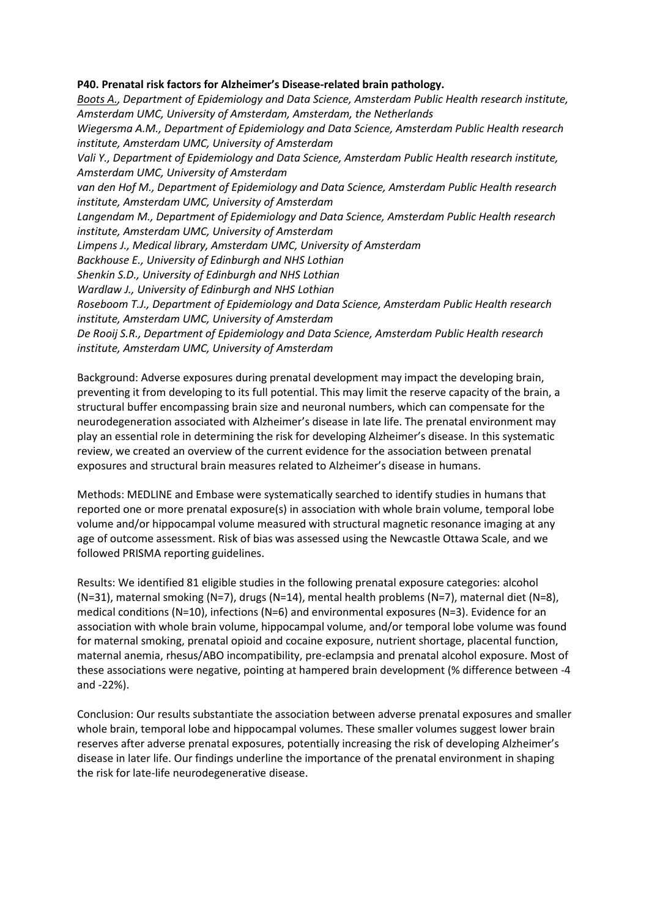#### **P40. Prenatal risk factors for Alzheimer's Disease-related brain pathology.**

*Boots A., Department of Epidemiology and Data Science, Amsterdam Public Health research institute, Amsterdam UMC, University of Amsterdam, Amsterdam, the Netherlands Wiegersma A.M., Department of Epidemiology and Data Science, Amsterdam Public Health research institute, Amsterdam UMC, University of Amsterdam Vali Y., Department of Epidemiology and Data Science, Amsterdam Public Health research institute, Amsterdam UMC, University of Amsterdam van den Hof M., Department of Epidemiology and Data Science, Amsterdam Public Health research institute, Amsterdam UMC, University of Amsterdam Langendam M., Department of Epidemiology and Data Science, Amsterdam Public Health research institute, Amsterdam UMC, University of Amsterdam Limpens J., Medical library, Amsterdam UMC, University of Amsterdam Backhouse E., University of Edinburgh and NHS Lothian Shenkin S.D., University of Edinburgh and NHS Lothian Wardlaw J., University of Edinburgh and NHS Lothian Roseboom T.J., Department of Epidemiology and Data Science, Amsterdam Public Health research institute, Amsterdam UMC, University of Amsterdam De Rooij S.R., Department of Epidemiology and Data Science, Amsterdam Public Health research institute, Amsterdam UMC, University of Amsterdam*

Background: Adverse exposures during prenatal development may impact the developing brain, preventing it from developing to its full potential. This may limit the reserve capacity of the brain, a structural buffer encompassing brain size and neuronal numbers, which can compensate for the neurodegeneration associated with Alzheimer's disease in late life. The prenatal environment may play an essential role in determining the risk for developing Alzheimer's disease. In this systematic review, we created an overview of the current evidence for the association between prenatal exposures and structural brain measures related to Alzheimer's disease in humans.

Methods: MEDLINE and Embase were systematically searched to identify studies in humans that reported one or more prenatal exposure(s) in association with whole brain volume, temporal lobe volume and/or hippocampal volume measured with structural magnetic resonance imaging at any age of outcome assessment. Risk of bias was assessed using the Newcastle Ottawa Scale, and we followed PRISMA reporting guidelines.

Results: We identified 81 eligible studies in the following prenatal exposure categories: alcohol (N=31), maternal smoking (N=7), drugs (N=14), mental health problems (N=7), maternal diet (N=8), medical conditions (N=10), infections (N=6) and environmental exposures (N=3). Evidence for an association with whole brain volume, hippocampal volume, and/or temporal lobe volume was found for maternal smoking, prenatal opioid and cocaine exposure, nutrient shortage, placental function, maternal anemia, rhesus/ABO incompatibility, pre-eclampsia and prenatal alcohol exposure. Most of these associations were negative, pointing at hampered brain development (% difference between -4 and -22%).

Conclusion: Our results substantiate the association between adverse prenatal exposures and smaller whole brain, temporal lobe and hippocampal volumes. These smaller volumes suggest lower brain reserves after adverse prenatal exposures, potentially increasing the risk of developing Alzheimer's disease in later life. Our findings underline the importance of the prenatal environment in shaping the risk for late-life neurodegenerative disease.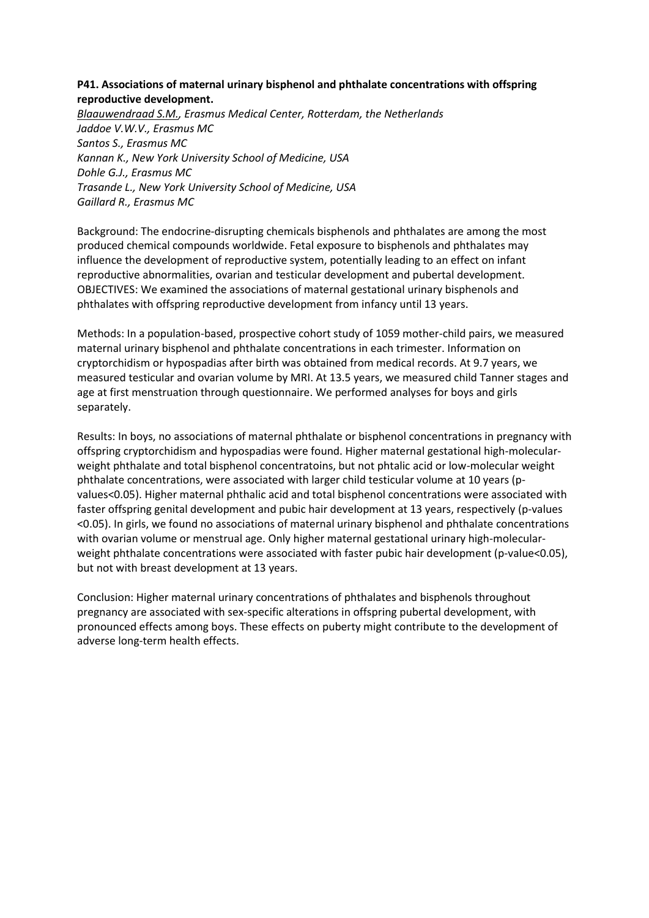# **P41. Associations of maternal urinary bisphenol and phthalate concentrations with offspring reproductive development.**

*Blaauwendraad S.M., Erasmus Medical Center, Rotterdam, the Netherlands Jaddoe V.W.V., Erasmus MC Santos S., Erasmus MC Kannan K., New York University School of Medicine, USA Dohle G.J., Erasmus MC Trasande L., New York University School of Medicine, USA Gaillard R., Erasmus MC*

Background: The endocrine-disrupting chemicals bisphenols and phthalates are among the most produced chemical compounds worldwide. Fetal exposure to bisphenols and phthalates may influence the development of reproductive system, potentially leading to an effect on infant reproductive abnormalities, ovarian and testicular development and pubertal development. OBJECTIVES: We examined the associations of maternal gestational urinary bisphenols and phthalates with offspring reproductive development from infancy until 13 years.

Methods: In a population-based, prospective cohort study of 1059 mother-child pairs, we measured maternal urinary bisphenol and phthalate concentrations in each trimester. Information on cryptorchidism or hypospadias after birth was obtained from medical records. At 9.7 years, we measured testicular and ovarian volume by MRI. At 13.5 years, we measured child Tanner stages and age at first menstruation through questionnaire. We performed analyses for boys and girls separately.

Results: In boys, no associations of maternal phthalate or bisphenol concentrations in pregnancy with offspring cryptorchidism and hypospadias were found. Higher maternal gestational high-molecularweight phthalate and total bisphenol concentratoins, but not phtalic acid or low-molecular weight phthalate concentrations, were associated with larger child testicular volume at 10 years (pvalues<0.05). Higher maternal phthalic acid and total bisphenol concentrations were associated with faster offspring genital development and pubic hair development at 13 years, respectively (p-values <0.05). In girls, we found no associations of maternal urinary bisphenol and phthalate concentrations with ovarian volume or menstrual age. Only higher maternal gestational urinary high-molecularweight phthalate concentrations were associated with faster pubic hair development (p-value<0.05), but not with breast development at 13 years.

Conclusion: Higher maternal urinary concentrations of phthalates and bisphenols throughout pregnancy are associated with sex-specific alterations in offspring pubertal development, with pronounced effects among boys. These effects on puberty might contribute to the development of adverse long-term health effects.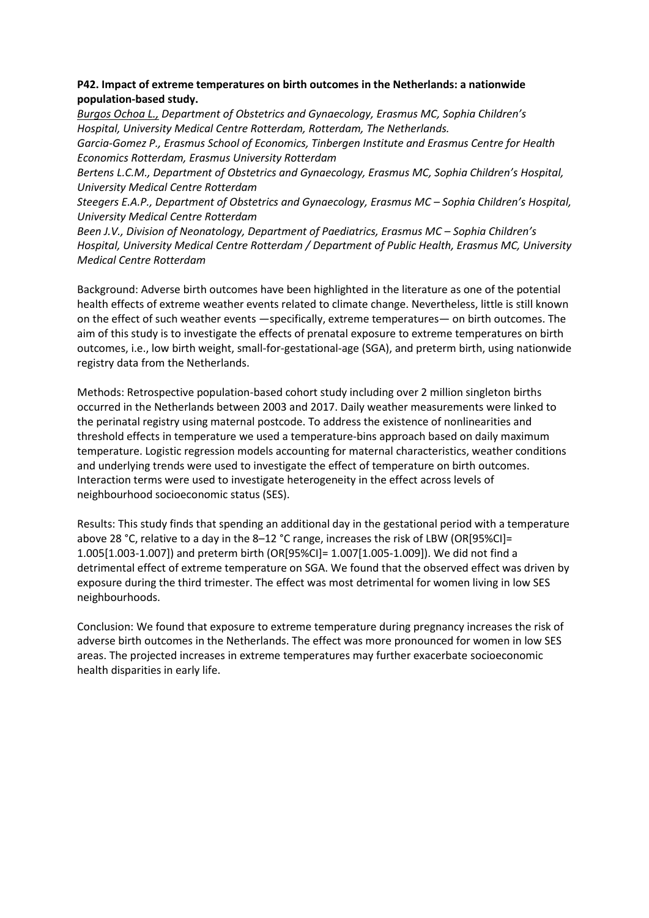# **P42. Impact of extreme temperatures on birth outcomes in the Netherlands: a nationwide population-based study.**

*Burgos Ochoa L., Department of Obstetrics and Gynaecology, Erasmus MC, Sophia Children's Hospital, University Medical Centre Rotterdam, Rotterdam, The Netherlands.* 

*Garcia-Gomez P., Erasmus School of Economics, Tinbergen Institute and Erasmus Centre for Health Economics Rotterdam, Erasmus University Rotterdam*

*Bertens L.C.M., Department of Obstetrics and Gynaecology, Erasmus MC, Sophia Children's Hospital, University Medical Centre Rotterdam*

*Steegers E.A.P., Department of Obstetrics and Gynaecology, Erasmus MC – Sophia Children's Hospital, University Medical Centre Rotterdam*

Been *J.V., Division of Neonatology, Department of Paediatrics, Erasmus MC - Sophia Children's Hospital, University Medical Centre Rotterdam / Department of Public Health, Erasmus MC, University Medical Centre Rotterdam*

Background: Adverse birth outcomes have been highlighted in the literature as one of the potential health effects of extreme weather events related to climate change. Nevertheless, little is still known on the effect of such weather events —specifically, extreme temperatures— on birth outcomes. The aim of this study is to investigate the effects of prenatal exposure to extreme temperatures on birth outcomes, i.e., low birth weight, small-for-gestational-age (SGA), and preterm birth, using nationwide registry data from the Netherlands.

Methods: Retrospective population-based cohort study including over 2 million singleton births occurred in the Netherlands between 2003 and 2017. Daily weather measurements were linked to the perinatal registry using maternal postcode. To address the existence of nonlinearities and threshold effects in temperature we used a temperature-bins approach based on daily maximum temperature. Logistic regression models accounting for maternal characteristics, weather conditions and underlying trends were used to investigate the effect of temperature on birth outcomes. Interaction terms were used to investigate heterogeneity in the effect across levels of neighbourhood socioeconomic status (SES).

Results: This study finds that spending an additional day in the gestational period with a temperature above 28 °C, relative to a day in the 8–12 °C range, increases the risk of LBW (OR[95%CI]= 1.005[1.003-1.007]) and preterm birth (OR[95%CI]= 1.007[1.005-1.009]). We did not find a detrimental effect of extreme temperature on SGA. We found that the observed effect was driven by exposure during the third trimester. The effect was most detrimental for women living in low SES neighbourhoods.

Conclusion: We found that exposure to extreme temperature during pregnancy increases the risk of adverse birth outcomes in the Netherlands. The effect was more pronounced for women in low SES areas. The projected increases in extreme temperatures may further exacerbate socioeconomic health disparities in early life.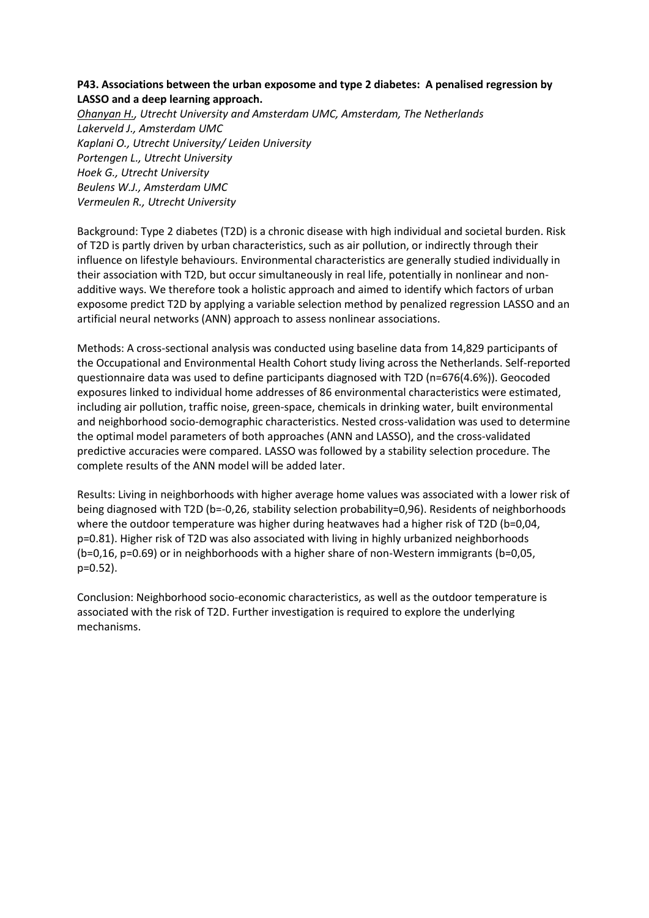## **P43. Associations between the urban exposome and type 2 diabetes: A penalised regression by LASSO and a deep learning approach.**

*Ohanyan H., Utrecht University and Amsterdam UMC, Amsterdam, The Netherlands Lakerveld J., Amsterdam UMC Kaplani O., Utrecht University/ Leiden University Portengen L., Utrecht University Hoek G., Utrecht University Beulens W.J., Amsterdam UMC Vermeulen R., Utrecht University*

Background: Type 2 diabetes (T2D) is a chronic disease with high individual and societal burden. Risk of T2D is partly driven by urban characteristics, such as air pollution, or indirectly through their influence on lifestyle behaviours. Environmental characteristics are generally studied individually in their association with T2D, but occur simultaneously in real life, potentially in nonlinear and nonadditive ways. We therefore took a holistic approach and aimed to identify which factors of urban exposome predict T2D by applying a variable selection method by penalized regression LASSO and an artificial neural networks (ANN) approach to assess nonlinear associations.

Methods: A cross-sectional analysis was conducted using baseline data from 14,829 participants of the Occupational and Environmental Health Cohort study living across the Netherlands. Self-reported questionnaire data was used to define participants diagnosed with T2D (n=676(4.6%)). Geocoded exposures linked to individual home addresses of 86 environmental characteristics were estimated, including air pollution, traffic noise, green-space, chemicals in drinking water, built environmental and neighborhood socio-demographic characteristics. Nested cross-validation was used to determine the optimal model parameters of both approaches (ANN and LASSO), and the cross-validated predictive accuracies were compared. LASSO was followed by a stability selection procedure. The complete results of the ANN model will be added later.

Results: Living in neighborhoods with higher average home values was associated with a lower risk of being diagnosed with T2D (b=-0,26, stability selection probability=0,96). Residents of neighborhoods where the outdoor temperature was higher during heatwaves had a higher risk of T2D (b=0,04, p=0.81). Higher risk of T2D was also associated with living in highly urbanized neighborhoods (b=0,16, p=0.69) or in neighborhoods with a higher share of non-Western immigrants (b=0,05, p=0.52).

Conclusion: Neighborhood socio-economic characteristics, as well as the outdoor temperature is associated with the risk of T2D. Further investigation is required to explore the underlying mechanisms.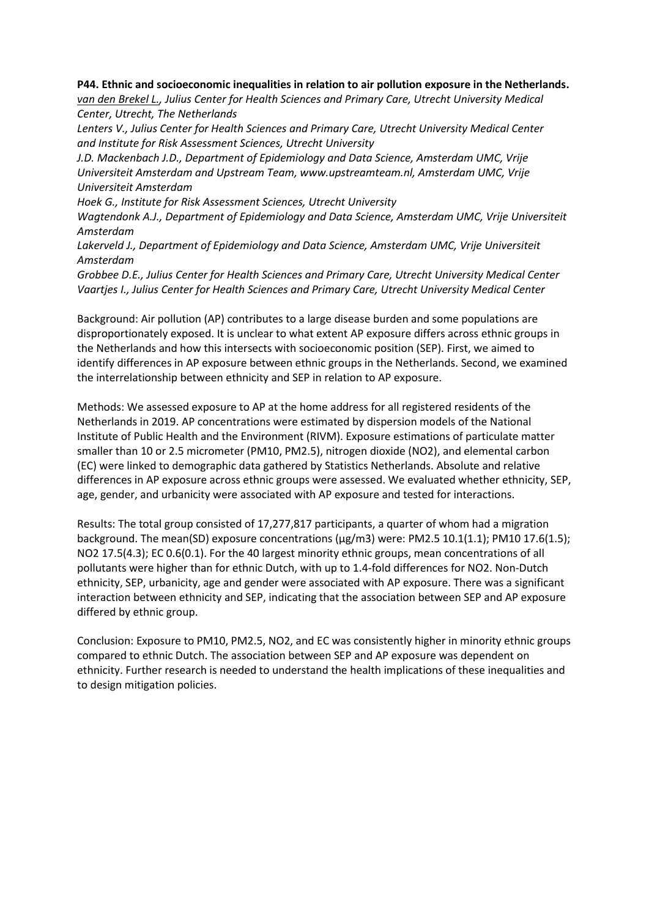**P44. Ethnic and socioeconomic inequalities in relation to air pollution exposure in the Netherlands.**

*van den Brekel L., Julius Center for Health Sciences and Primary Care, Utrecht University Medical Center, Utrecht, The Netherlands*

*Lenters V., Julius Center for Health Sciences and Primary Care, Utrecht University Medical Center and Institute for Risk Assessment Sciences, Utrecht University*

*J.D. Mackenbach J.D., Department of Epidemiology and Data Science, Amsterdam UMC, Vrije Universiteit Amsterdam and Upstream Team, www.upstreamteam.nl, Amsterdam UMC, Vrije Universiteit Amsterdam*

*Hoek G., Institute for Risk Assessment Sciences, Utrecht University*

*Wagtendonk A.J., Department of Epidemiology and Data Science, Amsterdam UMC, Vrije Universiteit Amsterdam*

*Lakerveld J., Department of Epidemiology and Data Science, Amsterdam UMC, Vrije Universiteit Amsterdam*

*Grobbee D.E., Julius Center for Health Sciences and Primary Care, Utrecht University Medical Center Vaartjes I., Julius Center for Health Sciences and Primary Care, Utrecht University Medical Center*

Background: Air pollution (AP) contributes to a large disease burden and some populations are disproportionately exposed. It is unclear to what extent AP exposure differs across ethnic groups in the Netherlands and how this intersects with socioeconomic position (SEP). First, we aimed to identify differences in AP exposure between ethnic groups in the Netherlands. Second, we examined the interrelationship between ethnicity and SEP in relation to AP exposure.

Methods: We assessed exposure to AP at the home address for all registered residents of the Netherlands in 2019. AP concentrations were estimated by dispersion models of the National Institute of Public Health and the Environment (RIVM). Exposure estimations of particulate matter smaller than 10 or 2.5 micrometer (PM10, PM2.5), nitrogen dioxide (NO2), and elemental carbon (EC) were linked to demographic data gathered by Statistics Netherlands. Absolute and relative differences in AP exposure across ethnic groups were assessed. We evaluated whether ethnicity, SEP, age, gender, and urbanicity were associated with AP exposure and tested for interactions.

Results: The total group consisted of 17,277,817 participants, a quarter of whom had a migration background. The mean(SD) exposure concentrations (µg/m3) were: PM2.5 10.1(1.1); PM10 17.6(1.5); NO2 17.5(4.3); EC 0.6(0.1). For the 40 largest minority ethnic groups, mean concentrations of all pollutants were higher than for ethnic Dutch, with up to 1.4-fold differences for NO2. Non-Dutch ethnicity, SEP, urbanicity, age and gender were associated with AP exposure. There was a significant interaction between ethnicity and SEP, indicating that the association between SEP and AP exposure differed by ethnic group.

Conclusion: Exposure to PM10, PM2.5, NO2, and EC was consistently higher in minority ethnic groups compared to ethnic Dutch. The association between SEP and AP exposure was dependent on ethnicity. Further research is needed to understand the health implications of these inequalities and to design mitigation policies.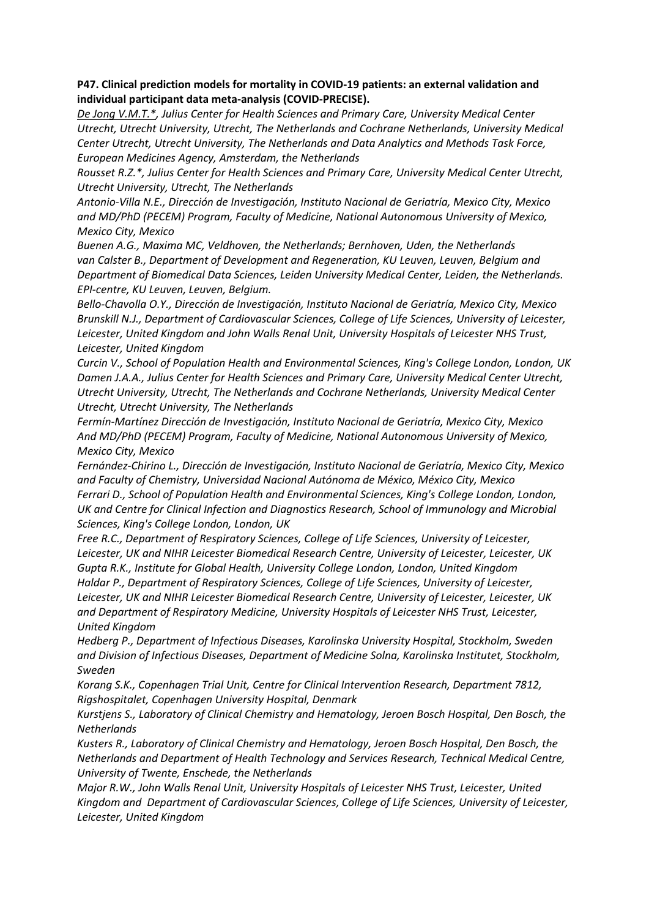# **P47. Clinical prediction models for mortality in COVID-19 patients: an external validation and individual participant data meta-analysis (COVID-PRECISE).**

*De Jong V.M.T.\*, Julius Center for Health Sciences and Primary Care, University Medical Center Utrecht, Utrecht University, Utrecht, The Netherlands and Cochrane Netherlands, University Medical Center Utrecht, Utrecht University, The Netherlands and Data Analytics and Methods Task Force, European Medicines Agency, Amsterdam, the Netherlands*

*Rousset R.Z.\*, Julius Center for Health Sciences and Primary Care, University Medical Center Utrecht, Utrecht University, Utrecht, The Netherlands*

*Antonio-Villa N.E., Dirección de Investigación, Instituto Nacional de Geriatría, Mexico City, Mexico and MD/PhD (PECEM) Program, Faculty of Medicine, National Autonomous University of Mexico, Mexico City, Mexico*

*Buenen A.G., Maxima MC, Veldhoven, the Netherlands; Bernhoven, Uden, the Netherlands van Calster B., Department of Development and Regeneration, KU Leuven, Leuven, Belgium and Department of Biomedical Data Sciences, Leiden University Medical Center, Leiden, the Netherlands. EPI-centre, KU Leuven, Leuven, Belgium.*

*Bello-Chavolla O.Y., Dirección de Investigación, Instituto Nacional de Geriatría, Mexico City, Mexico Brunskill N.J., Department of Cardiovascular Sciences, College of Life Sciences, University of Leicester, Leicester, United Kingdom and John Walls Renal Unit, University Hospitals of Leicester NHS Trust, Leicester, United Kingdom*

*Curcin V., School of Population Health and Environmental Sciences, King's College London, London, UK Damen J.A.A., Julius Center for Health Sciences and Primary Care, University Medical Center Utrecht, Utrecht University, Utrecht, The Netherlands and Cochrane Netherlands, University Medical Center Utrecht, Utrecht University, The Netherlands*

*Fermín-Martínez Dirección de Investigación, Instituto Nacional de Geriatría, Mexico City, Mexico And MD/PhD (PECEM) Program, Faculty of Medicine, National Autonomous University of Mexico, Mexico City, Mexico*

*Fernández-Chirino L., Dirección de Investigación, Instituto Nacional de Geriatría, Mexico City, Mexico and Faculty of Chemistry, Universidad Nacional Autónoma de México, México City, Mexico Ferrari D., School of Population Health and Environmental Sciences, King's College London, London, UK and Centre for Clinical Infection and Diagnostics Research, School of Immunology and Microbial Sciences, King's College London, London, UK*

*Free R.C., Department of Respiratory Sciences, College of Life Sciences, University of Leicester, Leicester, UK and NIHR Leicester Biomedical Research Centre, University of Leicester, Leicester, UK Gupta R.K., Institute for Global Health, University College London, London, United Kingdom Haldar P., Department of Respiratory Sciences, College of Life Sciences, University of Leicester, Leicester, UK and NIHR Leicester Biomedical Research Centre, University of Leicester, Leicester, UK and Department of Respiratory Medicine, University Hospitals of Leicester NHS Trust, Leicester, United Kingdom*

*Hedberg P., Department of Infectious Diseases, Karolinska University Hospital, Stockholm, Sweden and Division of Infectious Diseases, Department of Medicine Solna, Karolinska Institutet, Stockholm, Sweden* 

*Korang S.K., Copenhagen Trial Unit, Centre for Clinical Intervention Research, Department 7812, Rigshospitalet, Copenhagen University Hospital, Denmark*

*Kurstjens S., Laboratory of Clinical Chemistry and Hematology, Jeroen Bosch Hospital, Den Bosch, the Netherlands*

*Kusters R., Laboratory of Clinical Chemistry and Hematology, Jeroen Bosch Hospital, Den Bosch, the Netherlands and Department of Health Technology and Services Research, Technical Medical Centre, University of Twente, Enschede, the Netherlands*

*Major R.W., John Walls Renal Unit, University Hospitals of Leicester NHS Trust, Leicester, United Kingdom and Department of Cardiovascular Sciences, College of Life Sciences, University of Leicester, Leicester, United Kingdom*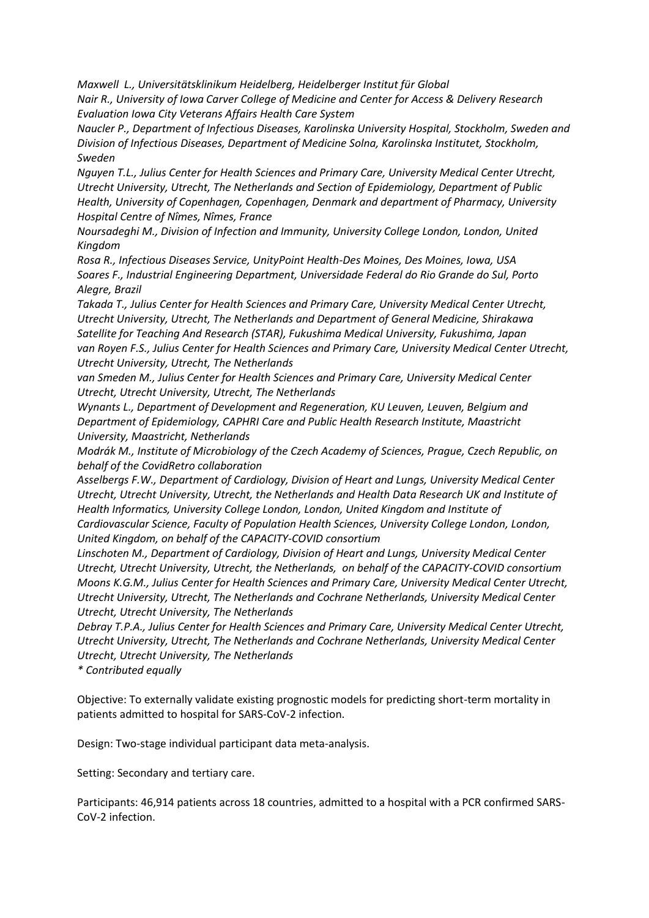*Maxwell L., Universitätsklinikum Heidelberg, Heidelberger Institut für Global Nair R., University of Iowa Carver College of Medicine and Center for Access & Delivery Research Evaluation Iowa City Veterans Affairs Health Care System*

*Naucler P., Department of Infectious Diseases, Karolinska University Hospital, Stockholm, Sweden and Division of Infectious Diseases, Department of Medicine Solna, Karolinska Institutet, Stockholm, Sweden* 

*Nguyen T.L., Julius Center for Health Sciences and Primary Care, University Medical Center Utrecht, Utrecht University, Utrecht, The Netherlands and Section of Epidemiology, Department of Public Health, University of Copenhagen, Copenhagen, Denmark and department of Pharmacy, University Hospital Centre of Nîmes, Nîmes, France*

*Noursadeghi M., Division of Infection and Immunity, University College London, London, United Kingdom*

*Rosa R., Infectious Diseases Service, UnityPoint Health-Des Moines, Des Moines, Iowa, USA Soares F., Industrial Engineering Department, Universidade Federal do Rio Grande do Sul, Porto Alegre, Brazil*

*Takada T., Julius Center for Health Sciences and Primary Care, University Medical Center Utrecht, Utrecht University, Utrecht, The Netherlands and Department of General Medicine, Shirakawa Satellite for Teaching And Research (STAR), Fukushima Medical University, Fukushima, Japan van Royen F.S., Julius Center for Health Sciences and Primary Care, University Medical Center Utrecht, Utrecht University, Utrecht, The Netherlands*

*van Smeden M., Julius Center for Health Sciences and Primary Care, University Medical Center Utrecht, Utrecht University, Utrecht, The Netherlands*

*Wynants L., Department of Development and Regeneration, KU Leuven, Leuven, Belgium and Department of Epidemiology, CAPHRI Care and Public Health Research Institute, Maastricht University, Maastricht, Netherlands*

*Modrák M., Institute of Microbiology of the Czech Academy of Sciences, Prague, Czech Republic, on behalf of the CovidRetro collaboration*

*Asselbergs F.W., Department of Cardiology, Division of Heart and Lungs, University Medical Center Utrecht, Utrecht University, Utrecht, the Netherlands and Health Data Research UK and Institute of Health Informatics, University College London, London, United Kingdom and Institute of Cardiovascular Science, Faculty of Population Health Sciences, University College London, London, United Kingdom, on behalf of the CAPACITY-COVID consortium*

*Linschoten M., Department of Cardiology, Division of Heart and Lungs, University Medical Center Utrecht, Utrecht University, Utrecht, the Netherlands, on behalf of the CAPACITY-COVID consortium Moons K.G.M., Julius Center for Health Sciences and Primary Care, University Medical Center Utrecht, Utrecht University, Utrecht, The Netherlands and Cochrane Netherlands, University Medical Center Utrecht, Utrecht University, The Netherlands*

*Debray T.P.A., Julius Center for Health Sciences and Primary Care, University Medical Center Utrecht, Utrecht University, Utrecht, The Netherlands and Cochrane Netherlands, University Medical Center Utrecht, Utrecht University, The Netherlands*

*\* Contributed equally*

Objective: To externally validate existing prognostic models for predicting short-term mortality in patients admitted to hospital for SARS-CoV-2 infection.

Design: Two-stage individual participant data meta-analysis.

Setting: Secondary and tertiary care.

Participants: 46,914 patients across 18 countries, admitted to a hospital with a PCR confirmed SARS-CoV-2 infection.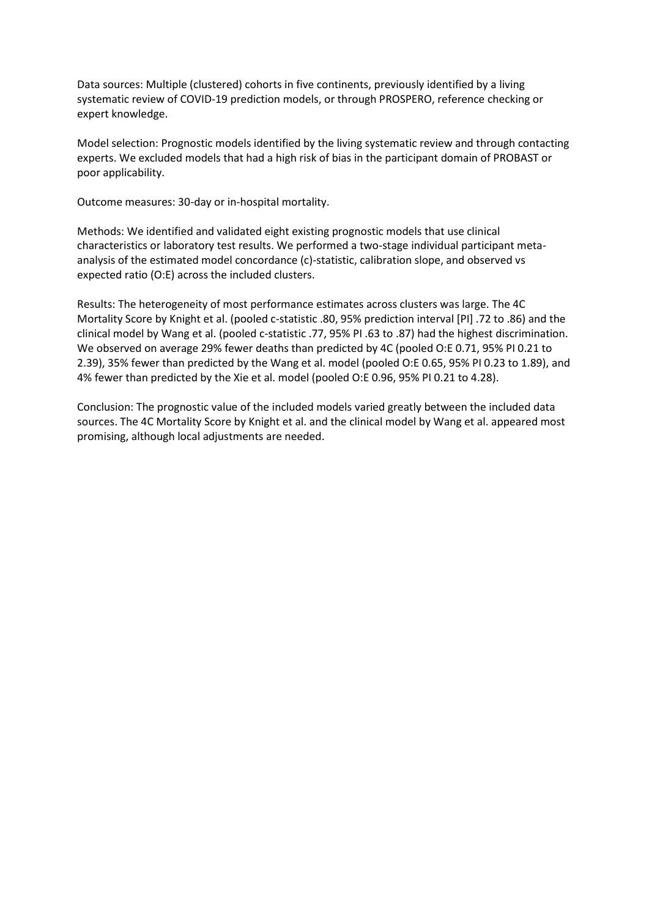Data sources: Multiple (clustered) cohorts in five continents, previously identified by a living systematic review of COVID-19 prediction models, or through PROSPERO, reference checking or expert knowledge.

Model selection: Prognostic models identified by the living systematic review and through contacting experts. We excluded models that had a high risk of bias in the participant domain of PROBAST or poor applicability.

Outcome measures: 30-day or in-hospital mortality.

Methods: We identified and validated eight existing prognostic models that use clinical characteristics or laboratory test results. We performed a two-stage individual participant metaanalysis of the estimated model concordance (c)-statistic, calibration slope, and observed vs expected ratio (O:E) across the included clusters.

Results: The heterogeneity of most performance estimates across clusters was large. The 4C Mortality Score by Knight et al. (pooled c-statistic .80, 95% prediction interval [PI] .72 to .86) and the clinical model by Wang et al. (pooled c-statistic .77, 95% PI .63 to .87) had the highest discrimination. We observed on average 29% fewer deaths than predicted by 4C (pooled O:E 0.71, 95% PI 0.21 to 2.39), 35% fewer than predicted by the Wang et al. model (pooled O:E 0.65, 95% PI 0.23 to 1.89), and 4% fewer than predicted by the Xie et al. model (pooled O:E 0.96, 95% PI 0.21 to 4.28).

Conclusion: The prognostic value of the included models varied greatly between the included data sources. The 4C Mortality Score by Knight et al. and the clinical model by Wang et al. appeared most promising, although local adjustments are needed.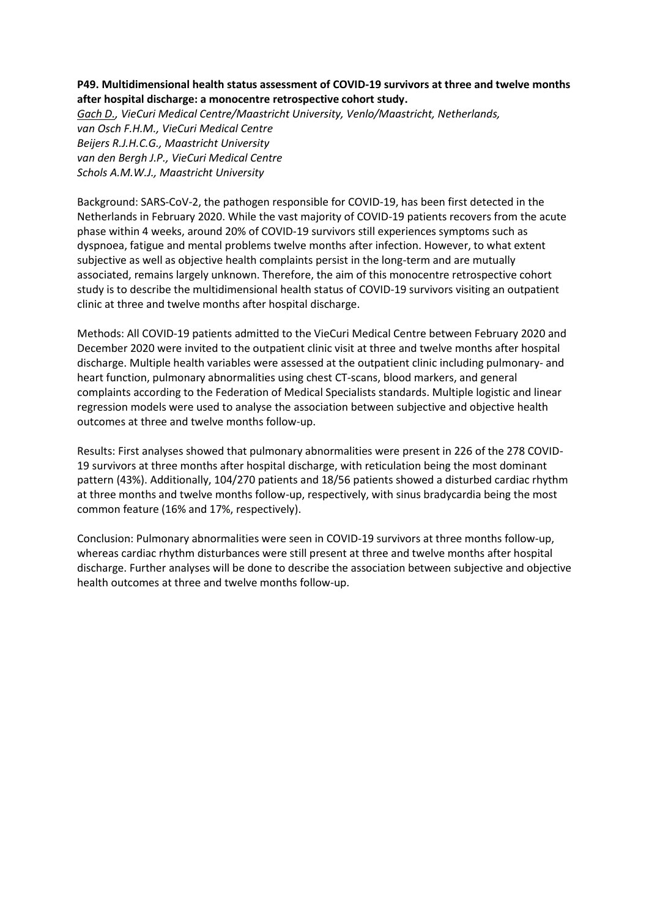# **P49. Multidimensional health status assessment of COVID-19 survivors at three and twelve months after hospital discharge: a monocentre retrospective cohort study.**

*Gach D., VieCuri Medical Centre/Maastricht University, Venlo/Maastricht, Netherlands, van Osch F.H.M., VieCuri Medical Centre Beijers R.J.H.C.G., Maastricht University van den Bergh J.P., VieCuri Medical Centre Schols A.M.W.J., Maastricht University*

Background: SARS-CoV-2, the pathogen responsible for COVID-19, has been first detected in the Netherlands in February 2020. While the vast majority of COVID-19 patients recovers from the acute phase within 4 weeks, around 20% of COVID-19 survivors still experiences symptoms such as dyspnoea, fatigue and mental problems twelve months after infection. However, to what extent subjective as well as objective health complaints persist in the long-term and are mutually associated, remains largely unknown. Therefore, the aim of this monocentre retrospective cohort study is to describe the multidimensional health status of COVID-19 survivors visiting an outpatient clinic at three and twelve months after hospital discharge.

Methods: All COVID-19 patients admitted to the VieCuri Medical Centre between February 2020 and December 2020 were invited to the outpatient clinic visit at three and twelve months after hospital discharge. Multiple health variables were assessed at the outpatient clinic including pulmonary- and heart function, pulmonary abnormalities using chest CT-scans, blood markers, and general complaints according to the Federation of Medical Specialists standards. Multiple logistic and linear regression models were used to analyse the association between subjective and objective health outcomes at three and twelve months follow-up.

Results: First analyses showed that pulmonary abnormalities were present in 226 of the 278 COVID-19 survivors at three months after hospital discharge, with reticulation being the most dominant pattern (43%). Additionally, 104/270 patients and 18/56 patients showed a disturbed cardiac rhythm at three months and twelve months follow-up, respectively, with sinus bradycardia being the most common feature (16% and 17%, respectively).

Conclusion: Pulmonary abnormalities were seen in COVID-19 survivors at three months follow-up, whereas cardiac rhythm disturbances were still present at three and twelve months after hospital discharge. Further analyses will be done to describe the association between subjective and objective health outcomes at three and twelve months follow-up.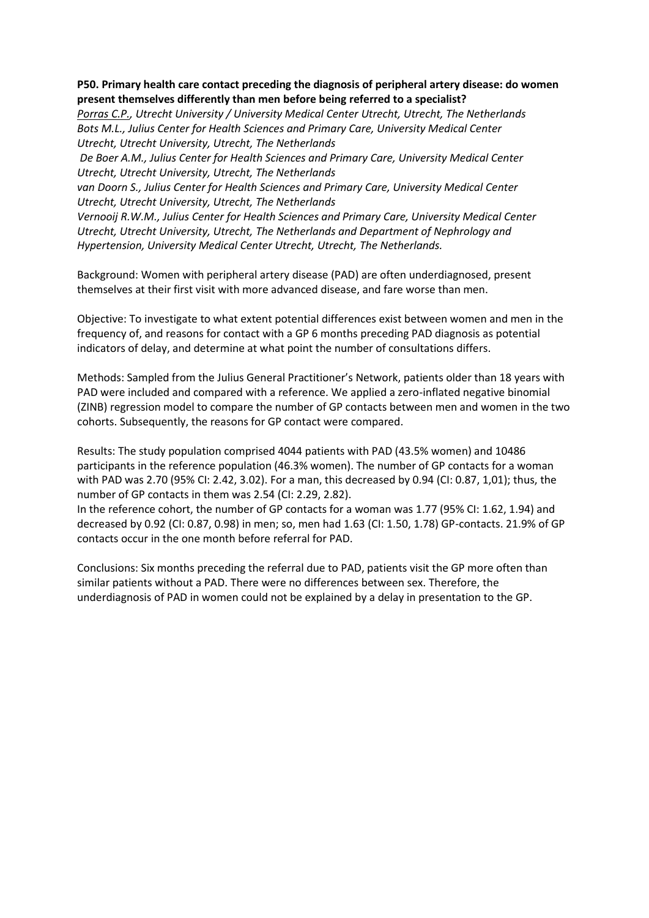## **P50. Primary health care contact preceding the diagnosis of peripheral artery disease: do women present themselves differently than men before being referred to a specialist?**

*Porras C.P., Utrecht University / University Medical Center Utrecht, Utrecht, The Netherlands Bots M.L., Julius Center for Health Sciences and Primary Care, University Medical Center Utrecht, Utrecht University, Utrecht, The Netherlands*

*De Boer A.M., Julius Center for Health Sciences and Primary Care, University Medical Center Utrecht, Utrecht University, Utrecht, The Netherlands*

*van Doorn S., Julius Center for Health Sciences and Primary Care, University Medical Center Utrecht, Utrecht University, Utrecht, The Netherlands*

*Vernooij R.W.M., Julius Center for Health Sciences and Primary Care, University Medical Center Utrecht, Utrecht University, Utrecht, The Netherlands and Department of Nephrology and Hypertension, University Medical Center Utrecht, Utrecht, The Netherlands.*

Background: Women with peripheral artery disease (PAD) are often underdiagnosed, present themselves at their first visit with more advanced disease, and fare worse than men.

Objective: To investigate to what extent potential differences exist between women and men in the frequency of, and reasons for contact with a GP 6 months preceding PAD diagnosis as potential indicators of delay, and determine at what point the number of consultations differs.

Methods: Sampled from the Julius General Practitioner's Network, patients older than 18 years with PAD were included and compared with a reference. We applied a zero-inflated negative binomial (ZINB) regression model to compare the number of GP contacts between men and women in the two cohorts. Subsequently, the reasons for GP contact were compared.

Results: The study population comprised 4044 patients with PAD (43.5% women) and 10486 participants in the reference population (46.3% women). The number of GP contacts for a woman with PAD was 2.70 (95% CI: 2.42, 3.02). For a man, this decreased by 0.94 (CI: 0.87, 1,01); thus, the number of GP contacts in them was 2.54 (CI: 2.29, 2.82).

In the reference cohort, the number of GP contacts for a woman was 1.77 (95% CI: 1.62, 1.94) and decreased by 0.92 (CI: 0.87, 0.98) in men; so, men had 1.63 (CI: 1.50, 1.78) GP-contacts. 21.9% of GP contacts occur in the one month before referral for PAD.

Conclusions: Six months preceding the referral due to PAD, patients visit the GP more often than similar patients without a PAD. There were no differences between sex. Therefore, the underdiagnosis of PAD in women could not be explained by a delay in presentation to the GP.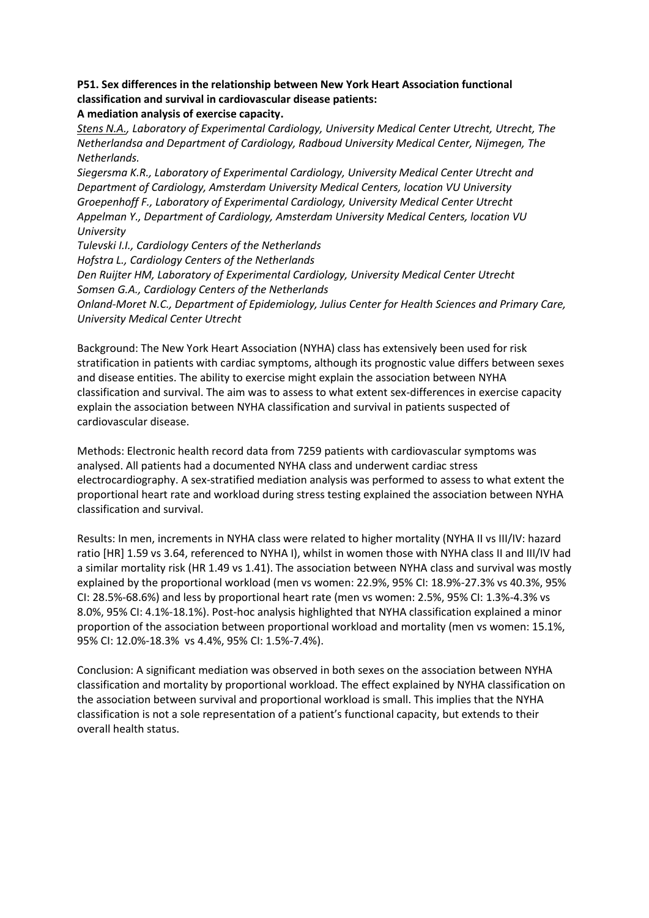# **P51. Sex differences in the relationship between New York Heart Association functional classification and survival in cardiovascular disease patients:**

**A mediation analysis of exercise capacity.**

*Stens N.A., Laboratory of Experimental Cardiology, University Medical Center Utrecht, Utrecht, The Netherlandsa and Department of Cardiology, Radboud University Medical Center, Nijmegen, The Netherlands.*

*Siegersma K.R., Laboratory of Experimental Cardiology, University Medical Center Utrecht and Department of Cardiology, Amsterdam University Medical Centers, location VU University Groepenhoff F., Laboratory of Experimental Cardiology, University Medical Center Utrecht Appelman Y., Department of Cardiology, Amsterdam University Medical Centers, location VU University*

*Tulevski I.I., Cardiology Centers of the Netherlands Hofstra L., Cardiology Centers of the Netherlands Den Ruijter HM, Laboratory of Experimental Cardiology, University Medical Center Utrecht Somsen G.A., Cardiology Centers of the Netherlands Onland-Moret N.C., Department of Epidemiology, Julius Center for Health Sciences and Primary Care, University Medical Center Utrecht*

Background: The New York Heart Association (NYHA) class has extensively been used for risk stratification in patients with cardiac symptoms, although its prognostic value differs between sexes and disease entities. The ability to exercise might explain the association between NYHA classification and survival. The aim was to assess to what extent sex-differences in exercise capacity explain the association between NYHA classification and survival in patients suspected of cardiovascular disease.

Methods: Electronic health record data from 7259 patients with cardiovascular symptoms was analysed. All patients had a documented NYHA class and underwent cardiac stress electrocardiography. A sex-stratified mediation analysis was performed to assess to what extent the proportional heart rate and workload during stress testing explained the association between NYHA classification and survival.

Results: In men, increments in NYHA class were related to higher mortality (NYHA II vs III/IV: hazard ratio [HR] 1.59 vs 3.64, referenced to NYHA I), whilst in women those with NYHA class II and III/IV had a similar mortality risk (HR 1.49 vs 1.41). The association between NYHA class and survival was mostly explained by the proportional workload (men vs women: 22.9%, 95% CI: 18.9%-27.3% vs 40.3%, 95% CI: 28.5%-68.6%) and less by proportional heart rate (men vs women: 2.5%, 95% CI: 1.3%-4.3% vs 8.0%, 95% CI: 4.1%-18.1%). Post-hoc analysis highlighted that NYHA classification explained a minor proportion of the association between proportional workload and mortality (men vs women: 15.1%, 95% CI: 12.0%-18.3% vs 4.4%, 95% CI: 1.5%-7.4%).

Conclusion: A significant mediation was observed in both sexes on the association between NYHA classification and mortality by proportional workload. The effect explained by NYHA classification on the association between survival and proportional workload is small. This implies that the NYHA classification is not a sole representation of a patient's functional capacity, but extends to their overall health status.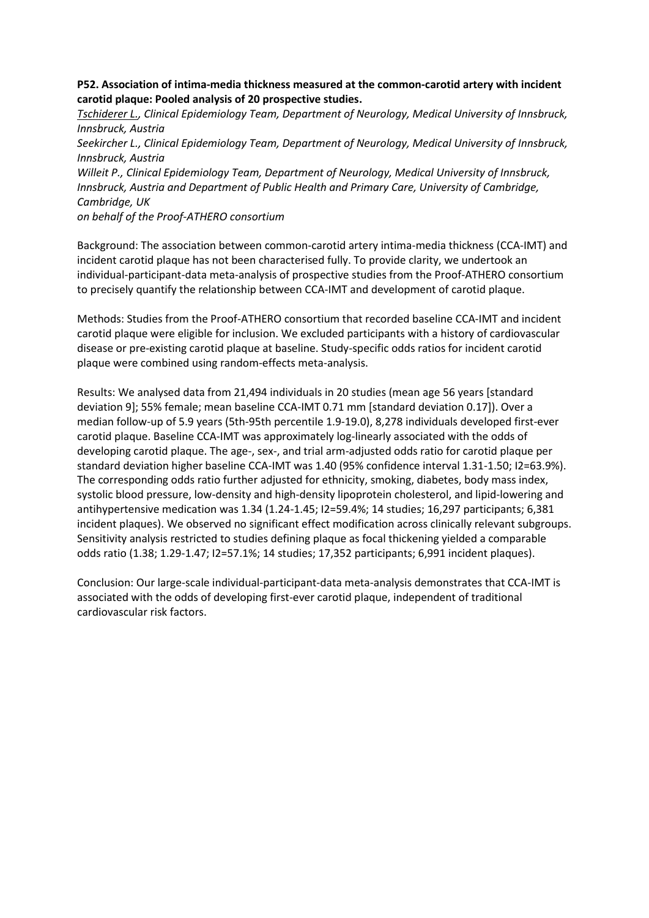# **P52. Association of intima-media thickness measured at the common-carotid artery with incident carotid plaque: Pooled analysis of 20 prospective studies.**

*Tschiderer L., Clinical Epidemiology Team, Department of Neurology, Medical University of Innsbruck, Innsbruck, Austria Seekircher L., Clinical Epidemiology Team, Department of Neurology, Medical University of Innsbruck, Innsbruck, Austria Willeit P., Clinical Epidemiology Team, Department of Neurology, Medical University of Innsbruck, Innsbruck, Austria and Department of Public Health and Primary Care, University of Cambridge, Cambridge, UK on behalf of the Proof-ATHERO consortium*

Background: The association between common-carotid artery intima-media thickness (CCA-IMT) and incident carotid plaque has not been characterised fully. To provide clarity, we undertook an individual-participant-data meta-analysis of prospective studies from the Proof-ATHERO consortium to precisely quantify the relationship between CCA-IMT and development of carotid plaque.

Methods: Studies from the Proof-ATHERO consortium that recorded baseline CCA-IMT and incident carotid plaque were eligible for inclusion. We excluded participants with a history of cardiovascular disease or pre-existing carotid plaque at baseline. Study-specific odds ratios for incident carotid plaque were combined using random-effects meta-analysis.

Results: We analysed data from 21,494 individuals in 20 studies (mean age 56 years [standard deviation 9]; 55% female; mean baseline CCA-IMT 0.71 mm [standard deviation 0.17]). Over a median follow-up of 5.9 years (5th-95th percentile 1.9-19.0), 8,278 individuals developed first-ever carotid plaque. Baseline CCA-IMT was approximately log-linearly associated with the odds of developing carotid plaque. The age-, sex-, and trial arm-adjusted odds ratio for carotid plaque per standard deviation higher baseline CCA-IMT was 1.40 (95% confidence interval 1.31-1.50; I2=63.9%). The corresponding odds ratio further adjusted for ethnicity, smoking, diabetes, body mass index, systolic blood pressure, low-density and high-density lipoprotein cholesterol, and lipid-lowering and antihypertensive medication was 1.34 (1.24-1.45; I2=59.4%; 14 studies; 16,297 participants; 6,381 incident plaques). We observed no significant effect modification across clinically relevant subgroups. Sensitivity analysis restricted to studies defining plaque as focal thickening yielded a comparable odds ratio (1.38; 1.29-1.47; I2=57.1%; 14 studies; 17,352 participants; 6,991 incident plaques).

Conclusion: Our large-scale individual-participant-data meta-analysis demonstrates that CCA-IMT is associated with the odds of developing first-ever carotid plaque, independent of traditional cardiovascular risk factors.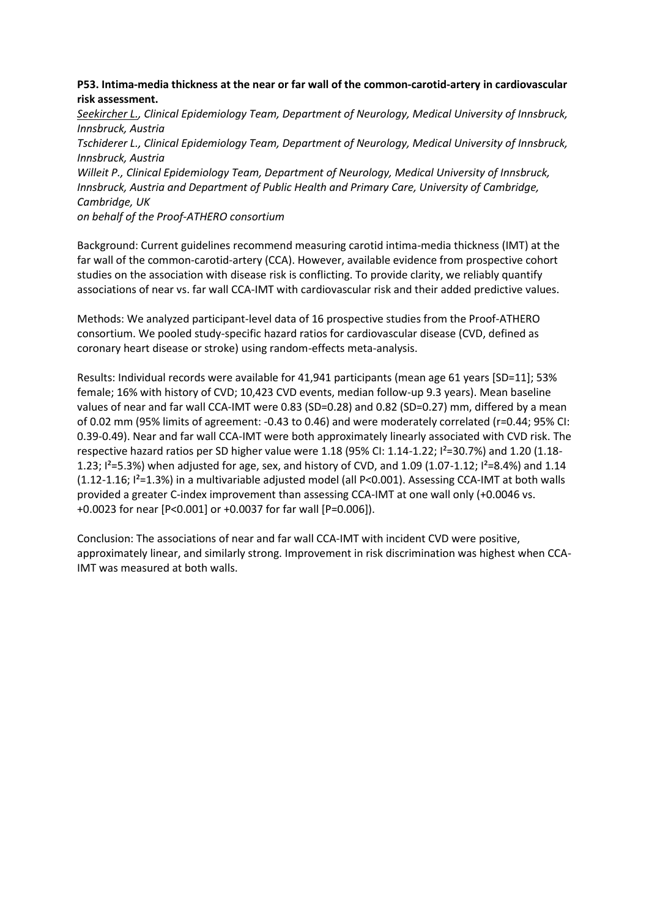# **P53. Intima-media thickness at the near or far wall of the common-carotid-artery in cardiovascular risk assessment.**

*Seekircher L., Clinical Epidemiology Team, Department of Neurology, Medical University of Innsbruck, Innsbruck, Austria Tschiderer L., Clinical Epidemiology Team, Department of Neurology, Medical University of Innsbruck, Innsbruck, Austria Willeit P., Clinical Epidemiology Team, Department of Neurology, Medical University of Innsbruck, Innsbruck, Austria and Department of Public Health and Primary Care, University of Cambridge, Cambridge, UK on behalf of the Proof-ATHERO consortium*

Background: Current guidelines recommend measuring carotid intima-media thickness (IMT) at the far wall of the common-carotid-artery (CCA). However, available evidence from prospective cohort studies on the association with disease risk is conflicting. To provide clarity, we reliably quantify associations of near vs. far wall CCA-IMT with cardiovascular risk and their added predictive values.

Methods: We analyzed participant-level data of 16 prospective studies from the Proof-ATHERO consortium. We pooled study-specific hazard ratios for cardiovascular disease (CVD, defined as coronary heart disease or stroke) using random-effects meta-analysis.

Results: Individual records were available for 41,941 participants (mean age 61 years [SD=11]; 53% female; 16% with history of CVD; 10,423 CVD events, median follow-up 9.3 years). Mean baseline values of near and far wall CCA-IMT were 0.83 (SD=0.28) and 0.82 (SD=0.27) mm, differed by a mean of 0.02 mm (95% limits of agreement: -0.43 to 0.46) and were moderately correlated (r=0.44; 95% CI: 0.39-0.49). Near and far wall CCA-IMT were both approximately linearly associated with CVD risk. The respective hazard ratios per SD higher value were 1.18 (95% CI: 1.14-1.22; I²=30.7%) and 1.20 (1.18- 1.23;  $I^2 = 5.3%$ ) when adjusted for age, sex, and history of CVD, and 1.09 (1.07-1.12;  $I^2 = 8.4%$ ) and 1.14 (1.12-1.16; I²=1.3%) in a multivariable adjusted model (all P<0.001). Assessing CCA-IMT at both walls provided a greater C-index improvement than assessing CCA-IMT at one wall only (+0.0046 vs. +0.0023 for near [P<0.001] or +0.0037 for far wall [P=0.006]).

Conclusion: The associations of near and far wall CCA-IMT with incident CVD were positive, approximately linear, and similarly strong. Improvement in risk discrimination was highest when CCA-IMT was measured at both walls.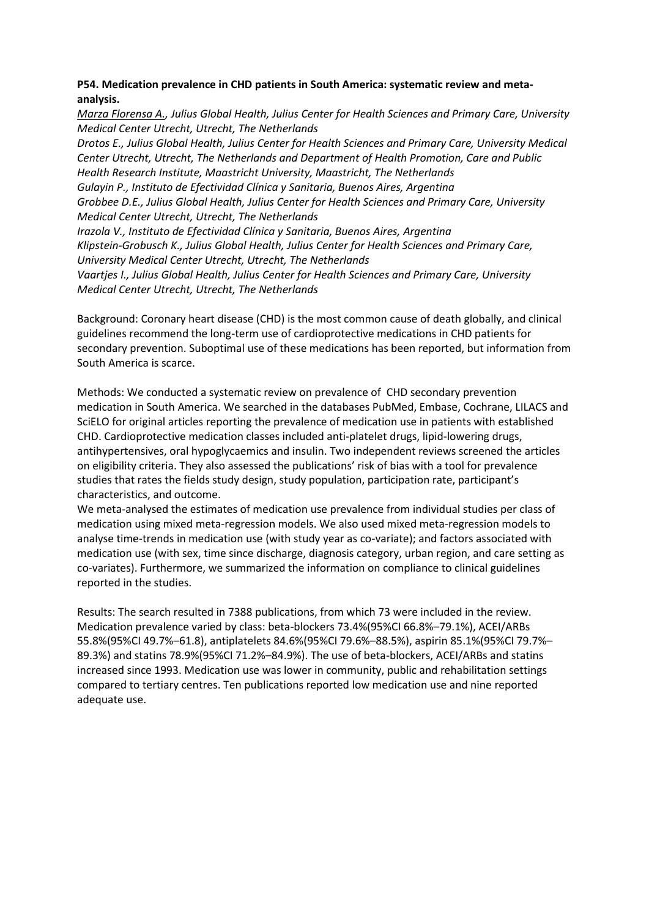# **P54. Medication prevalence in CHD patients in South America: systematic review and metaanalysis.**

*Marza Florensa A., Julius Global Health, Julius Center for Health Sciences and Primary Care, University Medical Center Utrecht, Utrecht, The Netherlands*

*Drotos E., Julius Global Health, Julius Center for Health Sciences and Primary Care, University Medical Center Utrecht, Utrecht, The Netherlands and Department of Health Promotion, Care and Public Health Research Institute, Maastricht University, Maastricht, The Netherlands Gulayin P., Instituto de Efectividad Clínica y Sanitaria, Buenos Aires, Argentina Grobbee D.E., Julius Global Health, Julius Center for Health Sciences and Primary Care, University Medical Center Utrecht, Utrecht, The Netherlands Irazola V., Instituto de Efectividad Clínica y Sanitaria, Buenos Aires, Argentina Klipstein-Grobusch K., Julius Global Health, Julius Center for Health Sciences and Primary Care, University Medical Center Utrecht, Utrecht, The Netherlands Vaartjes I., Julius Global Health, Julius Center for Health Sciences and Primary Care, University Medical Center Utrecht, Utrecht, The Netherlands*

Background: Coronary heart disease (CHD) is the most common cause of death globally, and clinical guidelines recommend the long-term use of cardioprotective medications in CHD patients for secondary prevention. Suboptimal use of these medications has been reported, but information from South America is scarce.

Methods: We conducted a systematic review on prevalence of CHD secondary prevention medication in South America. We searched in the databases PubMed, Embase, Cochrane, LILACS and SciELO for original articles reporting the prevalence of medication use in patients with established CHD. Cardioprotective medication classes included anti-platelet drugs, lipid-lowering drugs, antihypertensives, oral hypoglycaemics and insulin. Two independent reviews screened the articles on eligibility criteria. They also assessed the publications' risk of bias with a tool for prevalence studies that rates the fields study design, study population, participation rate, participant's characteristics, and outcome.

We meta-analysed the estimates of medication use prevalence from individual studies per class of medication using mixed meta-regression models. We also used mixed meta-regression models to analyse time-trends in medication use (with study year as co-variate); and factors associated with medication use (with sex, time since discharge, diagnosis category, urban region, and care setting as co-variates). Furthermore, we summarized the information on compliance to clinical guidelines reported in the studies.

Results: The search resulted in 7388 publications, from which 73 were included in the review. Medication prevalence varied by class: beta-blockers 73.4%(95%CI 66.8%–79.1%), ACEI/ARBs 55.8%(95%CI 49.7%–61.8), antiplatelets 84.6%(95%CI 79.6%–88.5%), aspirin 85.1%(95%CI 79.7%– 89.3%) and statins 78.9%(95%CI 71.2%–84.9%). The use of beta-blockers, ACEI/ARBs and statins increased since 1993. Medication use was lower in community, public and rehabilitation settings compared to tertiary centres. Ten publications reported low medication use and nine reported adequate use.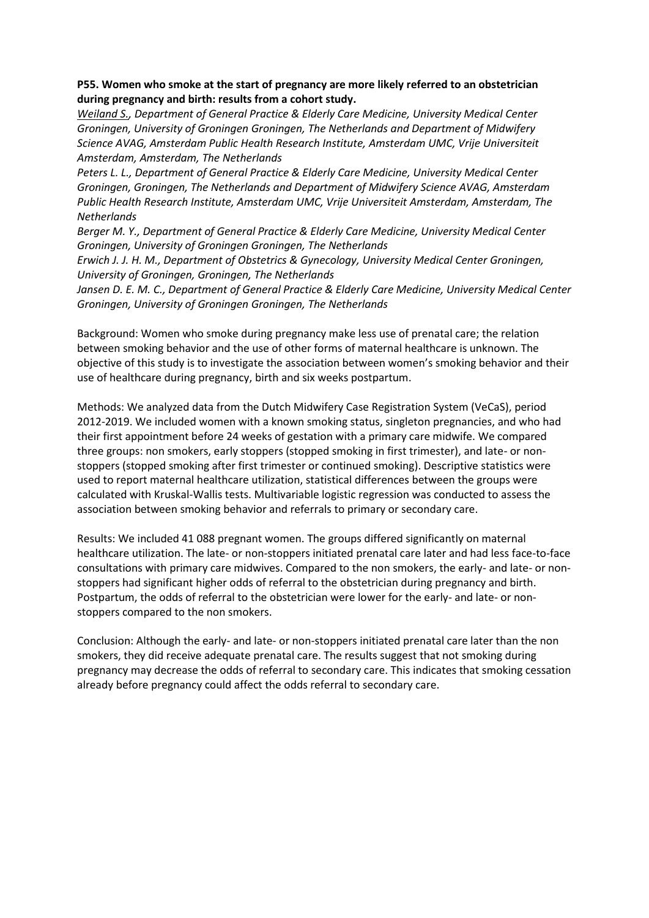## **P55. Women who smoke at the start of pregnancy are more likely referred to an obstetrician during pregnancy and birth: results from a cohort study.**

*Weiland S., Department of General Practice & Elderly Care Medicine, University Medical Center Groningen, University of Groningen Groningen, The Netherlands and Department of Midwifery Science AVAG, Amsterdam Public Health Research Institute, Amsterdam UMC, Vrije Universiteit Amsterdam, Amsterdam, The Netherlands*

*Peters L. L., Department of General Practice & Elderly Care Medicine, University Medical Center Groningen, Groningen, The Netherlands and Department of Midwifery Science AVAG, Amsterdam Public Health Research Institute, Amsterdam UMC, Vrije Universiteit Amsterdam, Amsterdam, The Netherlands* 

*Berger M. Y., Department of General Practice & Elderly Care Medicine, University Medical Center Groningen, University of Groningen Groningen, The Netherlands* 

*Erwich J. J. H. M., Department of Obstetrics & Gynecology, University Medical Center Groningen, University of Groningen, Groningen, The Netherlands*

*Jansen D. E. M. C., Department of General Practice & Elderly Care Medicine, University Medical Center Groningen, University of Groningen Groningen, The Netherlands*

Background: Women who smoke during pregnancy make less use of prenatal care; the relation between smoking behavior and the use of other forms of maternal healthcare is unknown. The objective of this study is to investigate the association between women's smoking behavior and their use of healthcare during pregnancy, birth and six weeks postpartum.

Methods: We analyzed data from the Dutch Midwifery Case Registration System (VeCaS), period 2012-2019. We included women with a known smoking status, singleton pregnancies, and who had their first appointment before 24 weeks of gestation with a primary care midwife. We compared three groups: non smokers, early stoppers (stopped smoking in first trimester), and late- or nonstoppers (stopped smoking after first trimester or continued smoking). Descriptive statistics were used to report maternal healthcare utilization, statistical differences between the groups were calculated with Kruskal-Wallis tests. Multivariable logistic regression was conducted to assess the association between smoking behavior and referrals to primary or secondary care.

Results: We included 41 088 pregnant women. The groups differed significantly on maternal healthcare utilization. The late- or non-stoppers initiated prenatal care later and had less face-to-face consultations with primary care midwives. Compared to the non smokers, the early- and late- or nonstoppers had significant higher odds of referral to the obstetrician during pregnancy and birth. Postpartum, the odds of referral to the obstetrician were lower for the early- and late- or nonstoppers compared to the non smokers.

Conclusion: Although the early- and late- or non-stoppers initiated prenatal care later than the non smokers, they did receive adequate prenatal care. The results suggest that not smoking during pregnancy may decrease the odds of referral to secondary care. This indicates that smoking cessation already before pregnancy could affect the odds referral to secondary care.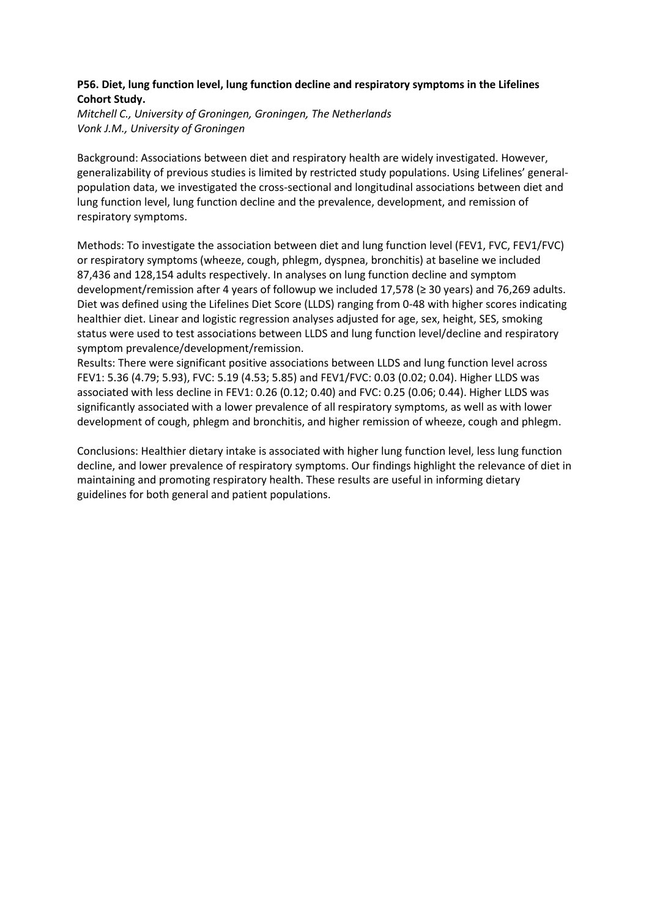# **P56. Diet, lung function level, lung function decline and respiratory symptoms in the Lifelines Cohort Study.**

*Mitchell C., University of Groningen, Groningen, The Netherlands Vonk J.M., University of Groningen*

Background: Associations between diet and respiratory health are widely investigated. However, generalizability of previous studies is limited by restricted study populations. Using Lifelines' generalpopulation data, we investigated the cross-sectional and longitudinal associations between diet and lung function level, lung function decline and the prevalence, development, and remission of respiratory symptoms.

Methods: To investigate the association between diet and lung function level (FEV1, FVC, FEV1/FVC) or respiratory symptoms (wheeze, cough, phlegm, dyspnea, bronchitis) at baseline we included 87,436 and 128,154 adults respectively. In analyses on lung function decline and symptom development/remission after 4 years of followup we included 17,578 (≥ 30 years) and 76,269 adults. Diet was defined using the Lifelines Diet Score (LLDS) ranging from 0-48 with higher scores indicating healthier diet. Linear and logistic regression analyses adjusted for age, sex, height, SES, smoking status were used to test associations between LLDS and lung function level/decline and respiratory symptom prevalence/development/remission.

Results: There were significant positive associations between LLDS and lung function level across FEV1: 5.36 (4.79; 5.93), FVC: 5.19 (4.53; 5.85) and FEV1/FVC: 0.03 (0.02; 0.04). Higher LLDS was associated with less decline in FEV1: 0.26 (0.12; 0.40) and FVC: 0.25 (0.06; 0.44). Higher LLDS was significantly associated with a lower prevalence of all respiratory symptoms, as well as with lower development of cough, phlegm and bronchitis, and higher remission of wheeze, cough and phlegm.

Conclusions: Healthier dietary intake is associated with higher lung function level, less lung function decline, and lower prevalence of respiratory symptoms. Our findings highlight the relevance of diet in maintaining and promoting respiratory health. These results are useful in informing dietary guidelines for both general and patient populations.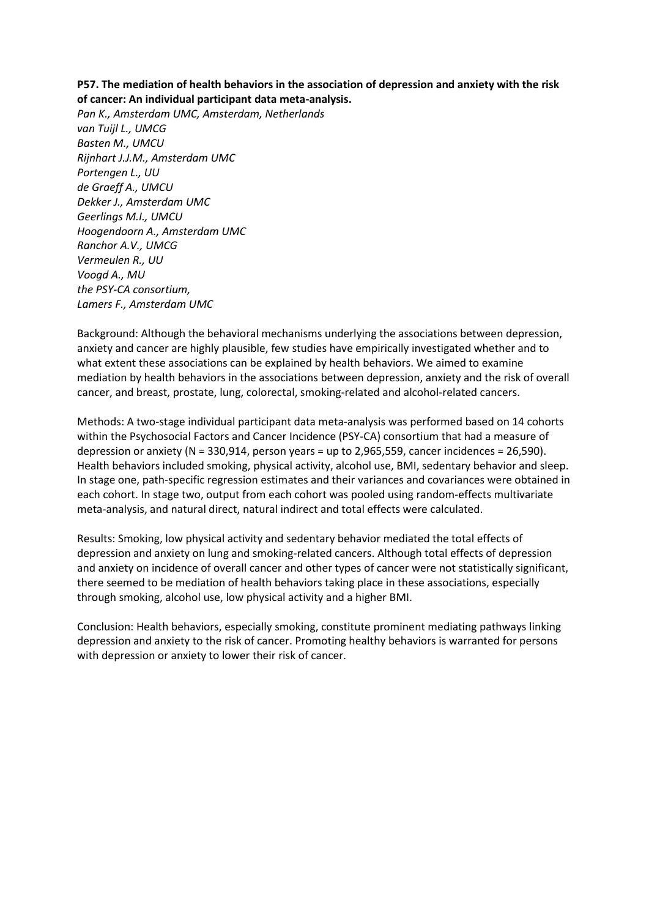## **P57. The mediation of health behaviors in the association of depression and anxiety with the risk of cancer: An individual participant data meta-analysis.**

*Pan K., Amsterdam UMC, Amsterdam, Netherlands van Tuijl L., UMCG Basten M., UMCU Rijnhart J.J.M., Amsterdam UMC Portengen L., UU de Graeff A., UMCU Dekker J., Amsterdam UMC Geerlings M.I., UMCU Hoogendoorn A., Amsterdam UMC Ranchor A.V., UMCG Vermeulen R., UU Voogd A., MU the PSY-CA consortium, Lamers F., Amsterdam UMC*

Background: Although the behavioral mechanisms underlying the associations between depression, anxiety and cancer are highly plausible, few studies have empirically investigated whether and to what extent these associations can be explained by health behaviors. We aimed to examine mediation by health behaviors in the associations between depression, anxiety and the risk of overall cancer, and breast, prostate, lung, colorectal, smoking-related and alcohol-related cancers.

Methods: A two-stage individual participant data meta-analysis was performed based on 14 cohorts within the Psychosocial Factors and Cancer Incidence (PSY-CA) consortium that had a measure of depression or anxiety (N = 330,914, person years = up to 2,965,559, cancer incidences = 26,590). Health behaviors included smoking, physical activity, alcohol use, BMI, sedentary behavior and sleep. In stage one, path-specific regression estimates and their variances and covariances were obtained in each cohort. In stage two, output from each cohort was pooled using random-effects multivariate meta-analysis, and natural direct, natural indirect and total effects were calculated.

Results: Smoking, low physical activity and sedentary behavior mediated the total effects of depression and anxiety on lung and smoking-related cancers. Although total effects of depression and anxiety on incidence of overall cancer and other types of cancer were not statistically significant, there seemed to be mediation of health behaviors taking place in these associations, especially through smoking, alcohol use, low physical activity and a higher BMI.

Conclusion: Health behaviors, especially smoking, constitute prominent mediating pathways linking depression and anxiety to the risk of cancer. Promoting healthy behaviors is warranted for persons with depression or anxiety to lower their risk of cancer.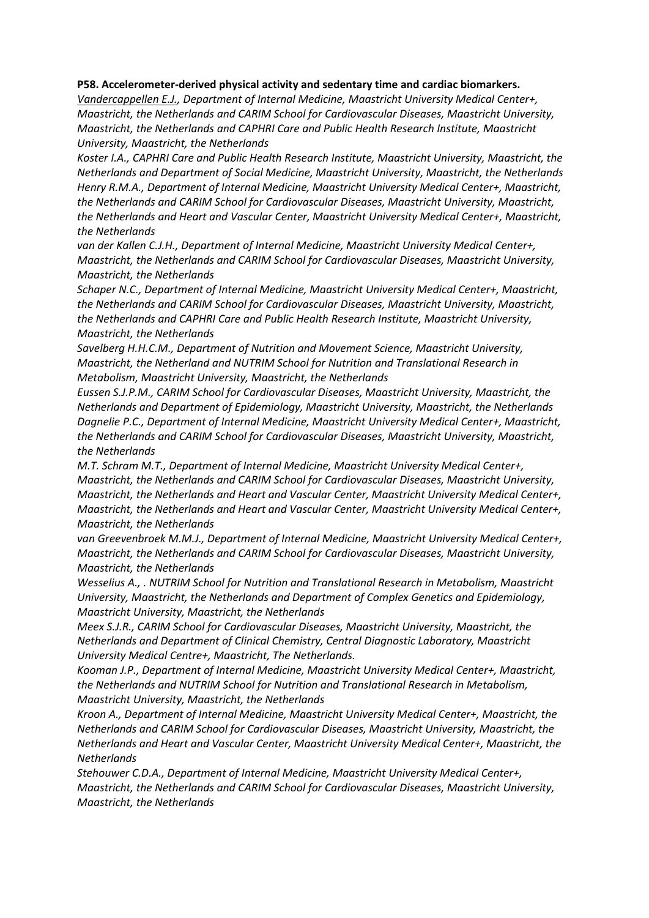#### **P58. Accelerometer-derived physical activity and sedentary time and cardiac biomarkers.**

*Vandercappellen E.J., Department of Internal Medicine, Maastricht University Medical Center+, Maastricht, the Netherlands and CARIM School for Cardiovascular Diseases, Maastricht University, Maastricht, the Netherlands and CAPHRI Care and Public Health Research Institute, Maastricht University, Maastricht, the Netherlands*

*Koster I.A., CAPHRI Care and Public Health Research Institute, Maastricht University, Maastricht, the Netherlands and Department of Social Medicine, Maastricht University, Maastricht, the Netherlands Henry R.M.A., Department of Internal Medicine, Maastricht University Medical Center+, Maastricht, the Netherlands and CARIM School for Cardiovascular Diseases, Maastricht University, Maastricht, the Netherlands and Heart and Vascular Center, Maastricht University Medical Center+, Maastricht, the Netherlands*

*van der Kallen C.J.H., Department of Internal Medicine, Maastricht University Medical Center+, Maastricht, the Netherlands and CARIM School for Cardiovascular Diseases, Maastricht University, Maastricht, the Netherlands*

*Schaper N.C., Department of Internal Medicine, Maastricht University Medical Center+, Maastricht, the Netherlands and CARIM School for Cardiovascular Diseases, Maastricht University, Maastricht, the Netherlands and CAPHRI Care and Public Health Research Institute, Maastricht University, Maastricht, the Netherlands*

*Savelberg H.H.C.M., Department of Nutrition and Movement Science, Maastricht University, Maastricht, the Netherland and NUTRIM School for Nutrition and Translational Research in Metabolism, Maastricht University, Maastricht, the Netherlands*

*Eussen S.J.P.M., CARIM School for Cardiovascular Diseases, Maastricht University, Maastricht, the Netherlands and Department of Epidemiology, Maastricht University, Maastricht, the Netherlands Dagnelie P.C., Department of Internal Medicine, Maastricht University Medical Center+, Maastricht, the Netherlands and CARIM School for Cardiovascular Diseases, Maastricht University, Maastricht, the Netherlands*

*M.T. Schram M.T., Department of Internal Medicine, Maastricht University Medical Center+, Maastricht, the Netherlands and CARIM School for Cardiovascular Diseases, Maastricht University, Maastricht, the Netherlands and Heart and Vascular Center, Maastricht University Medical Center+, Maastricht, the Netherlands and Heart and Vascular Center, Maastricht University Medical Center+, Maastricht, the Netherlands*

*van Greevenbroek M.M.J., Department of Internal Medicine, Maastricht University Medical Center+, Maastricht, the Netherlands and CARIM School for Cardiovascular Diseases, Maastricht University, Maastricht, the Netherlands*

*Wesselius A., . NUTRIM School for Nutrition and Translational Research in Metabolism, Maastricht University, Maastricht, the Netherlands and Department of Complex Genetics and Epidemiology, Maastricht University, Maastricht, the Netherlands*

*Meex S.J.R., CARIM School for Cardiovascular Diseases, Maastricht University, Maastricht, the Netherlands and Department of Clinical Chemistry, Central Diagnostic Laboratory, Maastricht University Medical Centre+, Maastricht, The Netherlands.*

*Kooman J.P., Department of Internal Medicine, Maastricht University Medical Center+, Maastricht, the Netherlands and NUTRIM School for Nutrition and Translational Research in Metabolism, Maastricht University, Maastricht, the Netherlands*

*Kroon A., Department of Internal Medicine, Maastricht University Medical Center+, Maastricht, the Netherlands and CARIM School for Cardiovascular Diseases, Maastricht University, Maastricht, the Netherlands and Heart and Vascular Center, Maastricht University Medical Center+, Maastricht, the Netherlands*

*Stehouwer C.D.A., Department of Internal Medicine, Maastricht University Medical Center+, Maastricht, the Netherlands and CARIM School for Cardiovascular Diseases, Maastricht University, Maastricht, the Netherlands*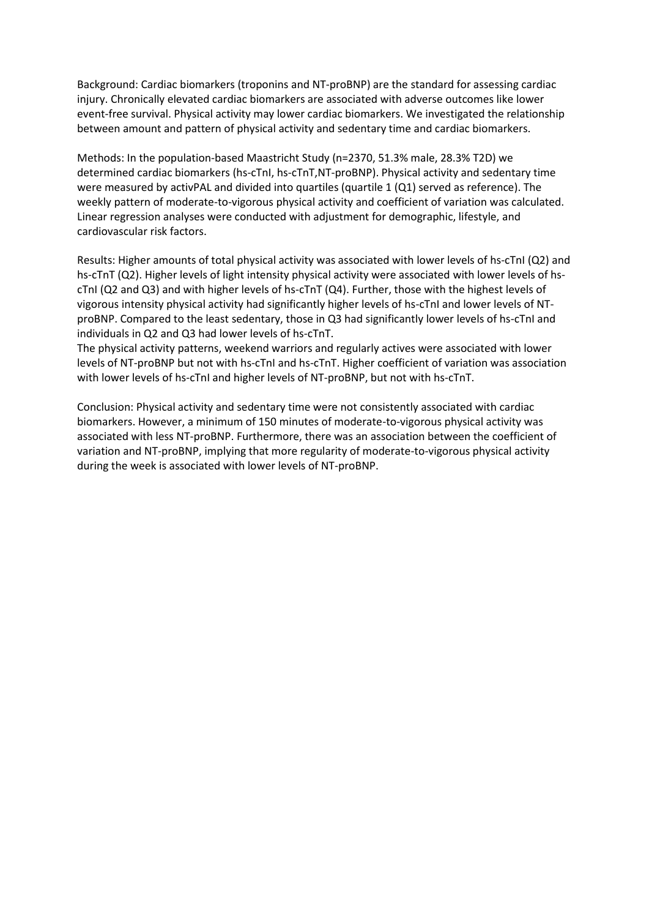Background: Cardiac biomarkers (troponins and NT-proBNP) are the standard for assessing cardiac injury. Chronically elevated cardiac biomarkers are associated with adverse outcomes like lower event-free survival. Physical activity may lower cardiac biomarkers. We investigated the relationship between amount and pattern of physical activity and sedentary time and cardiac biomarkers.

Methods: In the population-based Maastricht Study (n=2370, 51.3% male, 28.3% T2D) we determined cardiac biomarkers (hs-cTnI, hs-cTnT,NT-proBNP). Physical activity and sedentary time were measured by activPAL and divided into quartiles (quartile 1 (Q1) served as reference). The weekly pattern of moderate-to-vigorous physical activity and coefficient of variation was calculated. Linear regression analyses were conducted with adjustment for demographic, lifestyle, and cardiovascular risk factors.

Results: Higher amounts of total physical activity was associated with lower levels of hs-cTnI (Q2) and hs-cTnT (Q2). Higher levels of light intensity physical activity were associated with lower levels of hscTnI (Q2 and Q3) and with higher levels of hs-cTnT (Q4). Further, those with the highest levels of vigorous intensity physical activity had significantly higher levels of hs-cTnI and lower levels of NTproBNP. Compared to the least sedentary, those in Q3 had significantly lower levels of hs-cTnI and individuals in Q2 and Q3 had lower levels of hs-cTnT.

The physical activity patterns, weekend warriors and regularly actives were associated with lower levels of NT-proBNP but not with hs-cTnI and hs-cTnT. Higher coefficient of variation was association with lower levels of hs-cTnI and higher levels of NT-proBNP, but not with hs-cTnT.

Conclusion: Physical activity and sedentary time were not consistently associated with cardiac biomarkers. However, a minimum of 150 minutes of moderate-to-vigorous physical activity was associated with less NT-proBNP. Furthermore, there was an association between the coefficient of variation and NT-proBNP, implying that more regularity of moderate-to-vigorous physical activity during the week is associated with lower levels of NT-proBNP.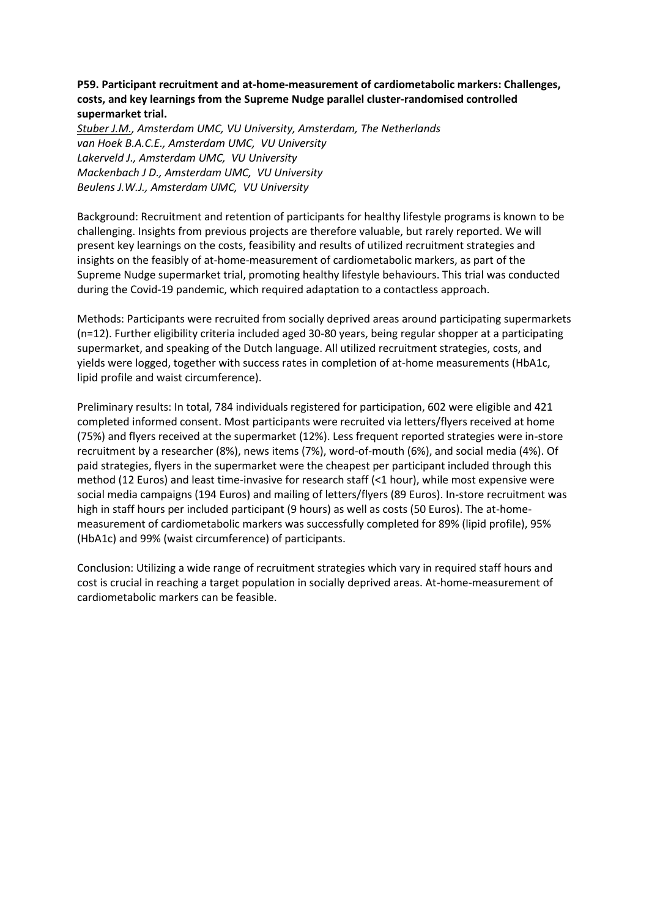# **P59. Participant recruitment and at-home-measurement of cardiometabolic markers: Challenges, costs, and key learnings from the Supreme Nudge parallel cluster-randomised controlled supermarket trial.**

*Stuber J.M., Amsterdam UMC, VU University, Amsterdam, The Netherlands van Hoek B.A.C.E., Amsterdam UMC, VU University Lakerveld J., Amsterdam UMC, VU University Mackenbach J D., Amsterdam UMC, VU University Beulens J.W.J., Amsterdam UMC, VU University*

Background: Recruitment and retention of participants for healthy lifestyle programs is known to be challenging. Insights from previous projects are therefore valuable, but rarely reported. We will present key learnings on the costs, feasibility and results of utilized recruitment strategies and insights on the feasibly of at-home-measurement of cardiometabolic markers, as part of the Supreme Nudge supermarket trial, promoting healthy lifestyle behaviours. This trial was conducted during the Covid-19 pandemic, which required adaptation to a contactless approach.

Methods: Participants were recruited from socially deprived areas around participating supermarkets (n=12). Further eligibility criteria included aged 30-80 years, being regular shopper at a participating supermarket, and speaking of the Dutch language. All utilized recruitment strategies, costs, and yields were logged, together with success rates in completion of at-home measurements (HbA1c, lipid profile and waist circumference).

Preliminary results: In total, 784 individuals registered for participation, 602 were eligible and 421 completed informed consent. Most participants were recruited via letters/flyers received at home (75%) and flyers received at the supermarket (12%). Less frequent reported strategies were in-store recruitment by a researcher (8%), news items (7%), word-of-mouth (6%), and social media (4%). Of paid strategies, flyers in the supermarket were the cheapest per participant included through this method (12 Euros) and least time-invasive for research staff (<1 hour), while most expensive were social media campaigns (194 Euros) and mailing of letters/flyers (89 Euros). In-store recruitment was high in staff hours per included participant (9 hours) as well as costs (50 Euros). The at-homemeasurement of cardiometabolic markers was successfully completed for 89% (lipid profile), 95% (HbA1c) and 99% (waist circumference) of participants.

Conclusion: Utilizing a wide range of recruitment strategies which vary in required staff hours and cost is crucial in reaching a target population in socially deprived areas. At-home-measurement of cardiometabolic markers can be feasible.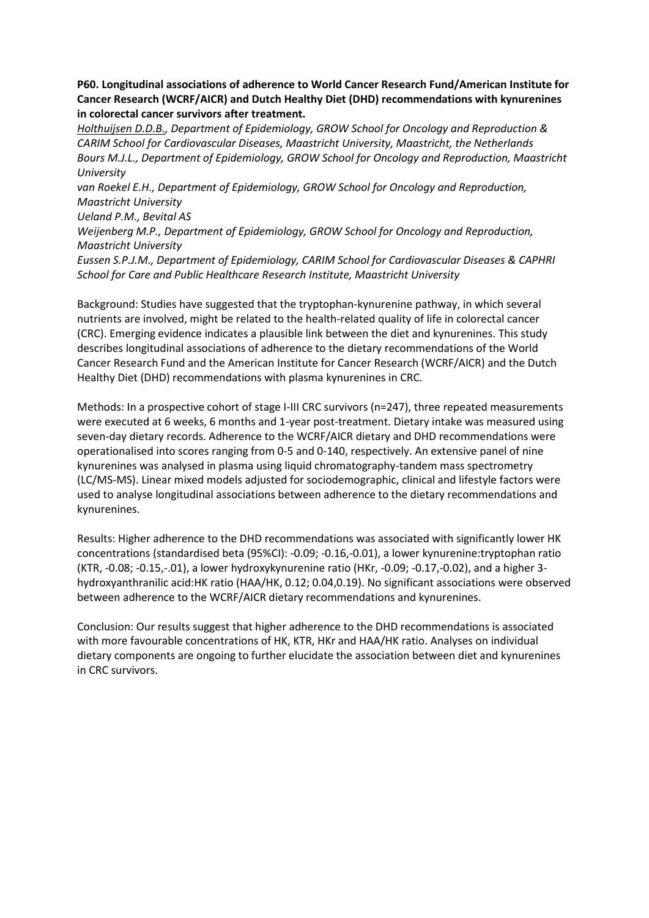**P60. Longitudinal associations of adherence to World Cancer Research Fund/American Institute for Cancer Research (WCRF/AICR) and Dutch Healthy Diet (DHD) recommendations with kynurenines in colorectal cancer survivors after treatment.**

*Holthuijsen D.D.B., Department of Epidemiology, GROW School for Oncology and Reproduction & CARIM School for Cardiovascular Diseases, Maastricht University, Maastricht, the Netherlands Bours M.J.L., Department of Epidemiology, GROW School for Oncology and Reproduction, Maastricht University*

*van Roekel E.H., Department of Epidemiology, GROW School for Oncology and Reproduction, Maastricht University*

*Ueland P.M., Bevital AS*

*Weijenberg M.P., Department of Epidemiology, GROW School for Oncology and Reproduction, Maastricht University*

*Eussen S.P.J.M., Department of Epidemiology, CARIM School for Cardiovascular Diseases & CAPHRI School for Care and Public Healthcare Research Institute, Maastricht University*

Background: Studies have suggested that the tryptophan-kynurenine pathway, in which several nutrients are involved, might be related to the health-related quality of life in colorectal cancer (CRC). Emerging evidence indicates a plausible link between the diet and kynurenines. This study describes longitudinal associations of adherence to the dietary recommendations of the World Cancer Research Fund and the American Institute for Cancer Research (WCRF/AICR) and the Dutch Healthy Diet (DHD) recommendations with plasma kynurenines in CRC.

Methods: In a prospective cohort of stage I-III CRC survivors (n=247), three repeated measurements were executed at 6 weeks, 6 months and 1-year post-treatment. Dietary intake was measured using seven-day dietary records. Adherence to the WCRF/AICR dietary and DHD recommendations were operationalised into scores ranging from 0-5 and 0-140, respectively. An extensive panel of nine kynurenines was analysed in plasma using liquid chromatography-tandem mass spectrometry (LC/MS-MS). Linear mixed models adjusted for sociodemographic, clinical and lifestyle factors were used to analyse longitudinal associations between adherence to the dietary recommendations and kynurenines.

Results: Higher adherence to the DHD recommendations was associated with significantly lower HK concentrations (standardised beta (95%CI): -0.09; -0.16,-0.01), a lower kynurenine:tryptophan ratio (KTR, -0.08; -0.15,-.01), a lower hydroxykynurenine ratio (HKr, -0.09; -0.17,-0.02), and a higher 3 hydroxyanthranilic acid:HK ratio (HAA/HK, 0.12; 0.04,0.19). No significant associations were observed between adherence to the WCRF/AICR dietary recommendations and kynurenines.

Conclusion: Our results suggest that higher adherence to the DHD recommendations is associated with more favourable concentrations of HK, KTR, HKr and HAA/HK ratio. Analyses on individual dietary components are ongoing to further elucidate the association between diet and kynurenines in CRC survivors.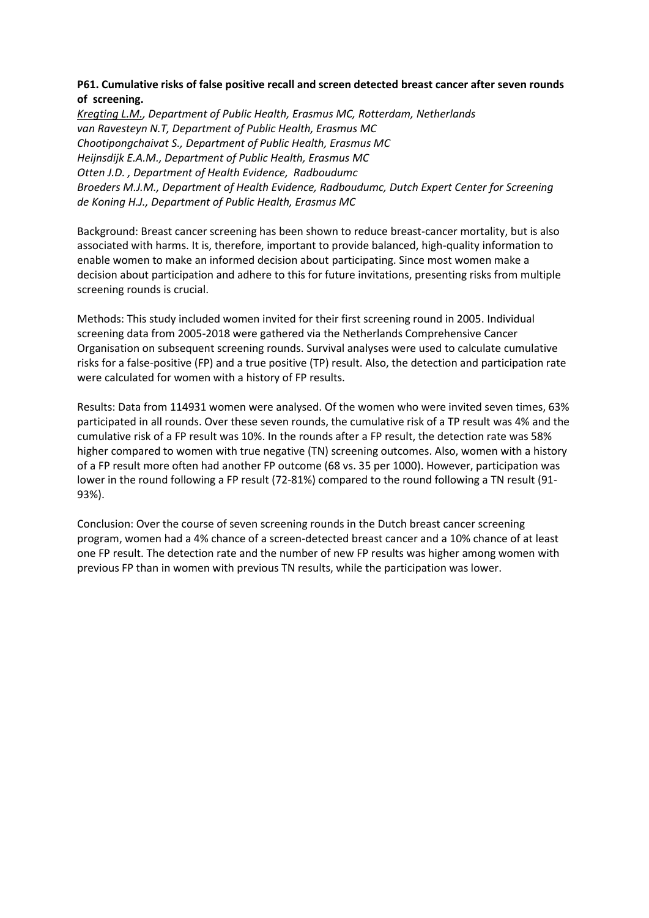# **P61. Cumulative risks of false positive recall and screen detected breast cancer after seven rounds of screening.**

*Kregting L.M., Department of Public Health, Erasmus MC, Rotterdam, Netherlands van Ravesteyn N.T, Department of Public Health, Erasmus MC Chootipongchaivat S., Department of Public Health, Erasmus MC Heijnsdijk E.A.M., Department of Public Health, Erasmus MC Otten J.D. , Department of Health Evidence, Radboudumc Broeders M.J.M., Department of Health Evidence, Radboudumc, Dutch Expert Center for Screening de Koning H.J., Department of Public Health, Erasmus MC*

Background: Breast cancer screening has been shown to reduce breast-cancer mortality, but is also associated with harms. It is, therefore, important to provide balanced, high-quality information to enable women to make an informed decision about participating. Since most women make a decision about participation and adhere to this for future invitations, presenting risks from multiple screening rounds is crucial.

Methods: This study included women invited for their first screening round in 2005. Individual screening data from 2005-2018 were gathered via the Netherlands Comprehensive Cancer Organisation on subsequent screening rounds. Survival analyses were used to calculate cumulative risks for a false-positive (FP) and a true positive (TP) result. Also, the detection and participation rate were calculated for women with a history of FP results.

Results: Data from 114931 women were analysed. Of the women who were invited seven times, 63% participated in all rounds. Over these seven rounds, the cumulative risk of a TP result was 4% and the cumulative risk of a FP result was 10%. In the rounds after a FP result, the detection rate was 58% higher compared to women with true negative (TN) screening outcomes. Also, women with a history of a FP result more often had another FP outcome (68 vs. 35 per 1000). However, participation was lower in the round following a FP result (72-81%) compared to the round following a TN result (91- 93%).

Conclusion: Over the course of seven screening rounds in the Dutch breast cancer screening program, women had a 4% chance of a screen-detected breast cancer and a 10% chance of at least one FP result. The detection rate and the number of new FP results was higher among women with previous FP than in women with previous TN results, while the participation was lower.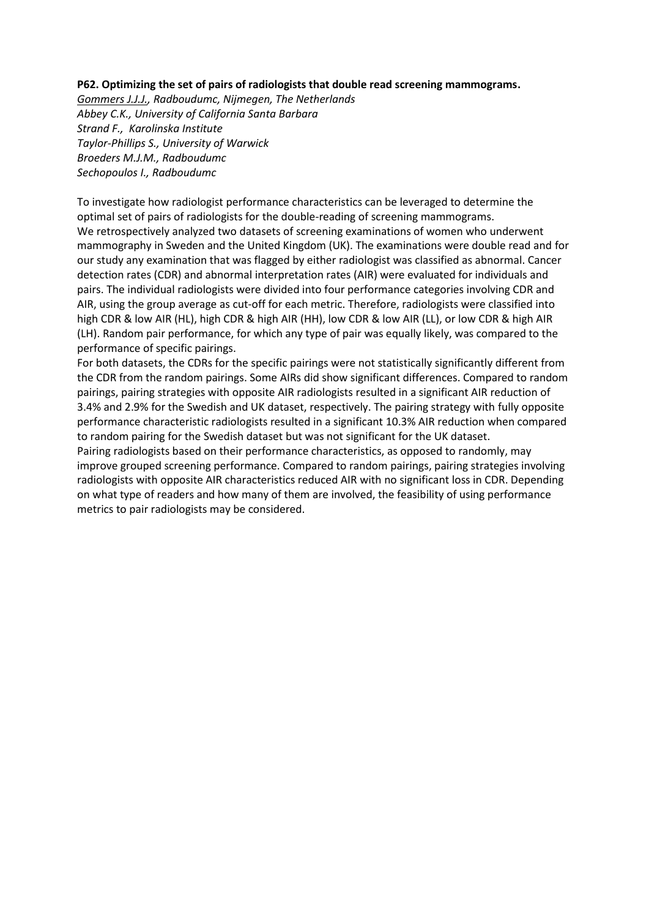#### **P62. Optimizing the set of pairs of radiologists that double read screening mammograms.**

*Gommers J.J.J., Radboudumc, Nijmegen, The Netherlands Abbey C.K., University of California Santa Barbara Strand F., Karolinska Institute Taylor-Phillips S., University of Warwick Broeders M.J.M., Radboudumc Sechopoulos I., Radboudumc*

To investigate how radiologist performance characteristics can be leveraged to determine the optimal set of pairs of radiologists for the double-reading of screening mammograms. We retrospectively analyzed two datasets of screening examinations of women who underwent mammography in Sweden and the United Kingdom (UK). The examinations were double read and for our study any examination that was flagged by either radiologist was classified as abnormal. Cancer detection rates (CDR) and abnormal interpretation rates (AIR) were evaluated for individuals and pairs. The individual radiologists were divided into four performance categories involving CDR and AIR, using the group average as cut-off for each metric. Therefore, radiologists were classified into high CDR & low AIR (HL), high CDR & high AIR (HH), low CDR & low AIR (LL), or low CDR & high AIR (LH). Random pair performance, for which any type of pair was equally likely, was compared to the performance of specific pairings.

For both datasets, the CDRs for the specific pairings were not statistically significantly different from the CDR from the random pairings. Some AIRs did show significant differences. Compared to random pairings, pairing strategies with opposite AIR radiologists resulted in a significant AIR reduction of 3.4% and 2.9% for the Swedish and UK dataset, respectively. The pairing strategy with fully opposite performance characteristic radiologists resulted in a significant 10.3% AIR reduction when compared to random pairing for the Swedish dataset but was not significant for the UK dataset.

Pairing radiologists based on their performance characteristics, as opposed to randomly, may improve grouped screening performance. Compared to random pairings, pairing strategies involving radiologists with opposite AIR characteristics reduced AIR with no significant loss in CDR. Depending on what type of readers and how many of them are involved, the feasibility of using performance metrics to pair radiologists may be considered.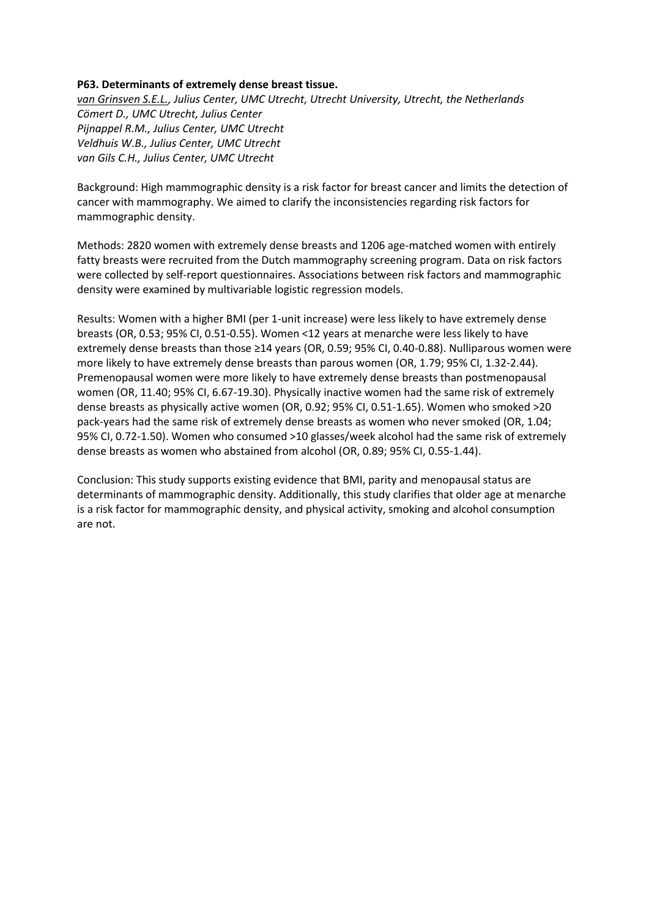## **P63. Determinants of extremely dense breast tissue.**

*van Grinsven S.E.L., Julius Center, UMC Utrecht, Utrecht University, Utrecht, the Netherlands Cömert D., UMC Utrecht, Julius Center Pijnappel R.M., Julius Center, UMC Utrecht Veldhuis W.B., Julius Center, UMC Utrecht van Gils C.H., Julius Center, UMC Utrecht*

Background: High mammographic density is a risk factor for breast cancer and limits the detection of cancer with mammography. We aimed to clarify the inconsistencies regarding risk factors for mammographic density.

Methods: 2820 women with extremely dense breasts and 1206 age-matched women with entirely fatty breasts were recruited from the Dutch mammography screening program. Data on risk factors were collected by self-report questionnaires. Associations between risk factors and mammographic density were examined by multivariable logistic regression models.

Results: Women with a higher BMI (per 1-unit increase) were less likely to have extremely dense breasts (OR, 0.53; 95% CI, 0.51-0.55). Women <12 years at menarche were less likely to have extremely dense breasts than those ≥14 years (OR, 0.59; 95% CI, 0.40-0.88). Nulliparous women were more likely to have extremely dense breasts than parous women (OR, 1.79; 95% CI, 1.32-2.44). Premenopausal women were more likely to have extremely dense breasts than postmenopausal women (OR, 11.40; 95% CI, 6.67-19.30). Physically inactive women had the same risk of extremely dense breasts as physically active women (OR, 0.92; 95% CI, 0.51-1.65). Women who smoked >20 pack-years had the same risk of extremely dense breasts as women who never smoked (OR, 1.04; 95% CI, 0.72-1.50). Women who consumed >10 glasses/week alcohol had the same risk of extremely dense breasts as women who abstained from alcohol (OR, 0.89; 95% CI, 0.55-1.44).

Conclusion: This study supports existing evidence that BMI, parity and menopausal status are determinants of mammographic density. Additionally, this study clarifies that older age at menarche is a risk factor for mammographic density, and physical activity, smoking and alcohol consumption are not.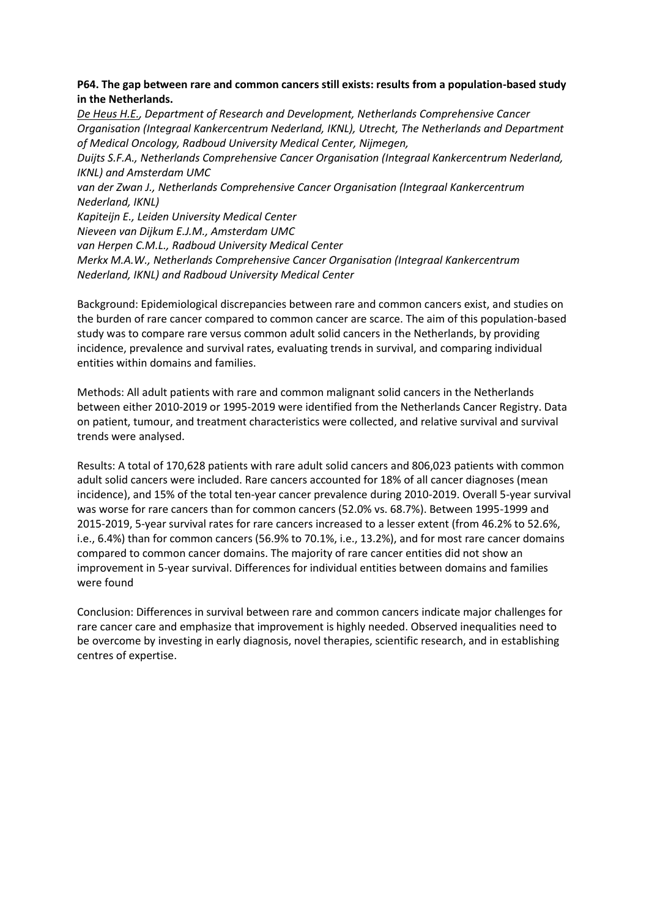# **P64. The gap between rare and common cancers still exists: results from a population-based study in the Netherlands.**

*De Heus H.E., Department of Research and Development, Netherlands Comprehensive Cancer Organisation (Integraal Kankercentrum Nederland, IKNL), Utrecht, The Netherlands and Department of Medical Oncology, Radboud University Medical Center, Nijmegen, Duijts S.F.A., Netherlands Comprehensive Cancer Organisation (Integraal Kankercentrum Nederland, IKNL) and Amsterdam UMC van der Zwan J., Netherlands Comprehensive Cancer Organisation (Integraal Kankercentrum Nederland, IKNL) Kapiteijn E., Leiden University Medical Center Nieveen van Dijkum E.J.M., Amsterdam UMC van Herpen C.M.L., Radboud University Medical Center Merkx M.A.W., Netherlands Comprehensive Cancer Organisation (Integraal Kankercentrum Nederland, IKNL) and Radboud University Medical Center*

Background: Epidemiological discrepancies between rare and common cancers exist, and studies on the burden of rare cancer compared to common cancer are scarce. The aim of this population-based study was to compare rare versus common adult solid cancers in the Netherlands, by providing incidence, prevalence and survival rates, evaluating trends in survival, and comparing individual entities within domains and families.

Methods: All adult patients with rare and common malignant solid cancers in the Netherlands between either 2010-2019 or 1995-2019 were identified from the Netherlands Cancer Registry. Data on patient, tumour, and treatment characteristics were collected, and relative survival and survival trends were analysed.

Results: A total of 170,628 patients with rare adult solid cancers and 806,023 patients with common adult solid cancers were included. Rare cancers accounted for 18% of all cancer diagnoses (mean incidence), and 15% of the total ten-year cancer prevalence during 2010-2019. Overall 5-year survival was worse for rare cancers than for common cancers (52.0% vs. 68.7%). Between 1995-1999 and 2015-2019, 5-year survival rates for rare cancers increased to a lesser extent (from 46.2% to 52.6%, i.e., 6.4%) than for common cancers (56.9% to 70.1%, i.e., 13.2%), and for most rare cancer domains compared to common cancer domains. The majority of rare cancer entities did not show an improvement in 5-year survival. Differences for individual entities between domains and families were found

Conclusion: Differences in survival between rare and common cancers indicate major challenges for rare cancer care and emphasize that improvement is highly needed. Observed inequalities need to be overcome by investing in early diagnosis, novel therapies, scientific research, and in establishing centres of expertise.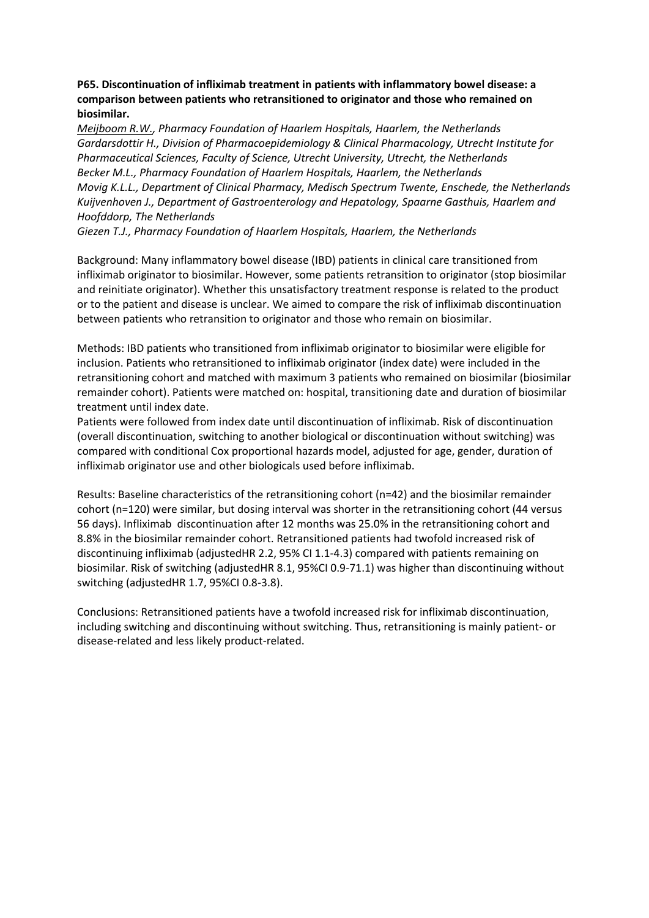# **P65. Discontinuation of infliximab treatment in patients with inflammatory bowel disease: a comparison between patients who retransitioned to originator and those who remained on biosimilar.**

*Meijboom R.W., Pharmacy Foundation of Haarlem Hospitals, Haarlem, the Netherlands Gardarsdottir H., Division of Pharmacoepidemiology & Clinical Pharmacology, Utrecht Institute for Pharmaceutical Sciences, Faculty of Science, Utrecht University, Utrecht, the Netherlands Becker M.L., Pharmacy Foundation of Haarlem Hospitals, Haarlem, the Netherlands Movig K.L.L., Department of Clinical Pharmacy, Medisch Spectrum Twente, Enschede, the Netherlands Kuijvenhoven J., Department of Gastroenterology and Hepatology, Spaarne Gasthuis, Haarlem and Hoofddorp, The Netherlands*

*Giezen T.J., Pharmacy Foundation of Haarlem Hospitals, Haarlem, the Netherlands*

Background: Many inflammatory bowel disease (IBD) patients in clinical care transitioned from infliximab originator to biosimilar. However, some patients retransition to originator (stop biosimilar and reinitiate originator). Whether this unsatisfactory treatment response is related to the product or to the patient and disease is unclear. We aimed to compare the risk of infliximab discontinuation between patients who retransition to originator and those who remain on biosimilar.

Methods: IBD patients who transitioned from infliximab originator to biosimilar were eligible for inclusion. Patients who retransitioned to infliximab originator (index date) were included in the retransitioning cohort and matched with maximum 3 patients who remained on biosimilar (biosimilar remainder cohort). Patients were matched on: hospital, transitioning date and duration of biosimilar treatment until index date.

Patients were followed from index date until discontinuation of infliximab. Risk of discontinuation (overall discontinuation, switching to another biological or discontinuation without switching) was compared with conditional Cox proportional hazards model, adjusted for age, gender, duration of infliximab originator use and other biologicals used before infliximab.

Results: Baseline characteristics of the retransitioning cohort (n=42) and the biosimilar remainder cohort (n=120) were similar, but dosing interval was shorter in the retransitioning cohort (44 versus 56 days). Infliximab discontinuation after 12 months was 25.0% in the retransitioning cohort and 8.8% in the biosimilar remainder cohort. Retransitioned patients had twofold increased risk of discontinuing infliximab (adjustedHR 2.2, 95% CI 1.1-4.3) compared with patients remaining on biosimilar. Risk of switching (adjustedHR 8.1, 95%CI 0.9-71.1) was higher than discontinuing without switching (adjustedHR 1.7, 95%CI 0.8-3.8).

Conclusions: Retransitioned patients have a twofold increased risk for infliximab discontinuation, including switching and discontinuing without switching. Thus, retransitioning is mainly patient- or disease-related and less likely product-related.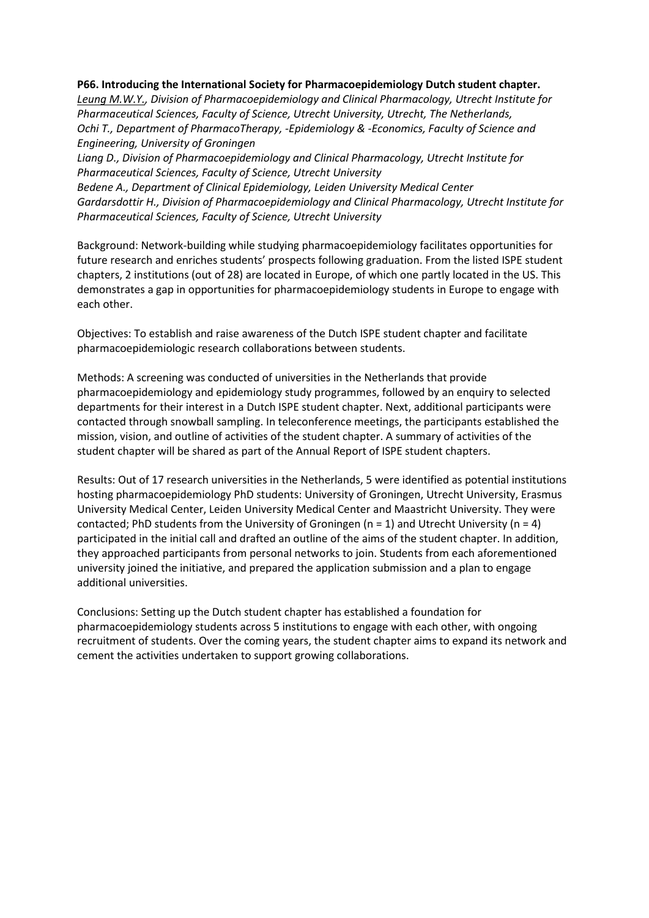#### **P66. Introducing the International Society for Pharmacoepidemiology Dutch student chapter.**

*Leung M.W.Y., Division of Pharmacoepidemiology and Clinical Pharmacology, Utrecht Institute for Pharmaceutical Sciences, Faculty of Science, Utrecht University, Utrecht, The Netherlands, Ochi T., Department of PharmacoTherapy, -Epidemiology & -Economics, Faculty of Science and Engineering, University of Groningen*

*Liang D., Division of Pharmacoepidemiology and Clinical Pharmacology, Utrecht Institute for Pharmaceutical Sciences, Faculty of Science, Utrecht University*

*Bedene A., Department of Clinical Epidemiology, Leiden University Medical Center Gardarsdottir H., Division of Pharmacoepidemiology and Clinical Pharmacology, Utrecht Institute for Pharmaceutical Sciences, Faculty of Science, Utrecht University*

Background: Network-building while studying pharmacoepidemiology facilitates opportunities for future research and enriches students' prospects following graduation. From the listed ISPE student chapters, 2 institutions (out of 28) are located in Europe, of which one partly located in the US. This demonstrates a gap in opportunities for pharmacoepidemiology students in Europe to engage with each other.

Objectives: To establish and raise awareness of the Dutch ISPE student chapter and facilitate pharmacoepidemiologic research collaborations between students.

Methods: A screening was conducted of universities in the Netherlands that provide pharmacoepidemiology and epidemiology study programmes, followed by an enquiry to selected departments for their interest in a Dutch ISPE student chapter. Next, additional participants were contacted through snowball sampling. In teleconference meetings, the participants established the mission, vision, and outline of activities of the student chapter. A summary of activities of the student chapter will be shared as part of the Annual Report of ISPE student chapters.

Results: Out of 17 research universities in the Netherlands, 5 were identified as potential institutions hosting pharmacoepidemiology PhD students: University of Groningen, Utrecht University, Erasmus University Medical Center, Leiden University Medical Center and Maastricht University. They were contacted; PhD students from the University of Groningen ( $n = 1$ ) and Utrecht University ( $n = 4$ ) participated in the initial call and drafted an outline of the aims of the student chapter. In addition, they approached participants from personal networks to join. Students from each aforementioned university joined the initiative, and prepared the application submission and a plan to engage additional universities.

Conclusions: Setting up the Dutch student chapter has established a foundation for pharmacoepidemiology students across 5 institutions to engage with each other, with ongoing recruitment of students. Over the coming years, the student chapter aims to expand its network and cement the activities undertaken to support growing collaborations.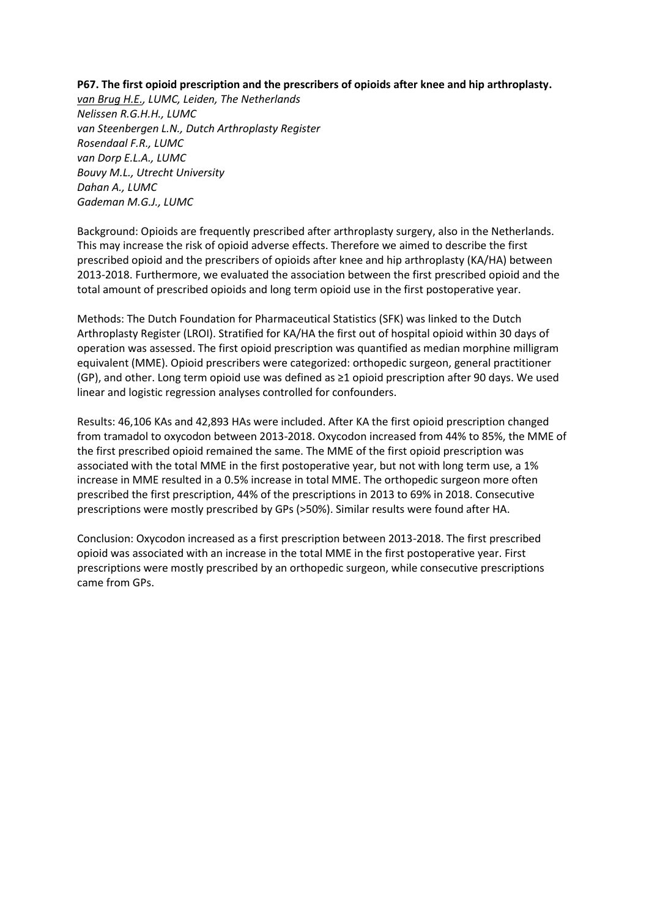#### **P67. The first opioid prescription and the prescribers of opioids after knee and hip arthroplasty.**

*van Brug H.E., LUMC, Leiden, The Netherlands Nelissen R.G.H.H., LUMC van Steenbergen L.N., Dutch Arthroplasty Register Rosendaal F.R., LUMC van Dorp E.L.A., LUMC Bouvy M.L., Utrecht University Dahan A., LUMC Gademan M.G.J., LUMC*

Background: Opioids are frequently prescribed after arthroplasty surgery, also in the Netherlands. This may increase the risk of opioid adverse effects. Therefore we aimed to describe the first prescribed opioid and the prescribers of opioids after knee and hip arthroplasty (KA/HA) between 2013-2018. Furthermore, we evaluated the association between the first prescribed opioid and the total amount of prescribed opioids and long term opioid use in the first postoperative year.

Methods: The Dutch Foundation for Pharmaceutical Statistics (SFK) was linked to the Dutch Arthroplasty Register (LROI). Stratified for KA/HA the first out of hospital opioid within 30 days of operation was assessed. The first opioid prescription was quantified as median morphine milligram equivalent (MME). Opioid prescribers were categorized: orthopedic surgeon, general practitioner (GP), and other. Long term opioid use was defined as ≥1 opioid prescription after 90 days. We used linear and logistic regression analyses controlled for confounders.

Results: 46,106 KAs and 42,893 HAs were included. After KA the first opioid prescription changed from tramadol to oxycodon between 2013-2018. Oxycodon increased from 44% to 85%, the MME of the first prescribed opioid remained the same. The MME of the first opioid prescription was associated with the total MME in the first postoperative year, but not with long term use, a 1% increase in MME resulted in a 0.5% increase in total MME. The orthopedic surgeon more often prescribed the first prescription, 44% of the prescriptions in 2013 to 69% in 2018. Consecutive prescriptions were mostly prescribed by GPs (>50%). Similar results were found after HA.

Conclusion: Oxycodon increased as a first prescription between 2013-2018. The first prescribed opioid was associated with an increase in the total MME in the first postoperative year. First prescriptions were mostly prescribed by an orthopedic surgeon, while consecutive prescriptions came from GPs.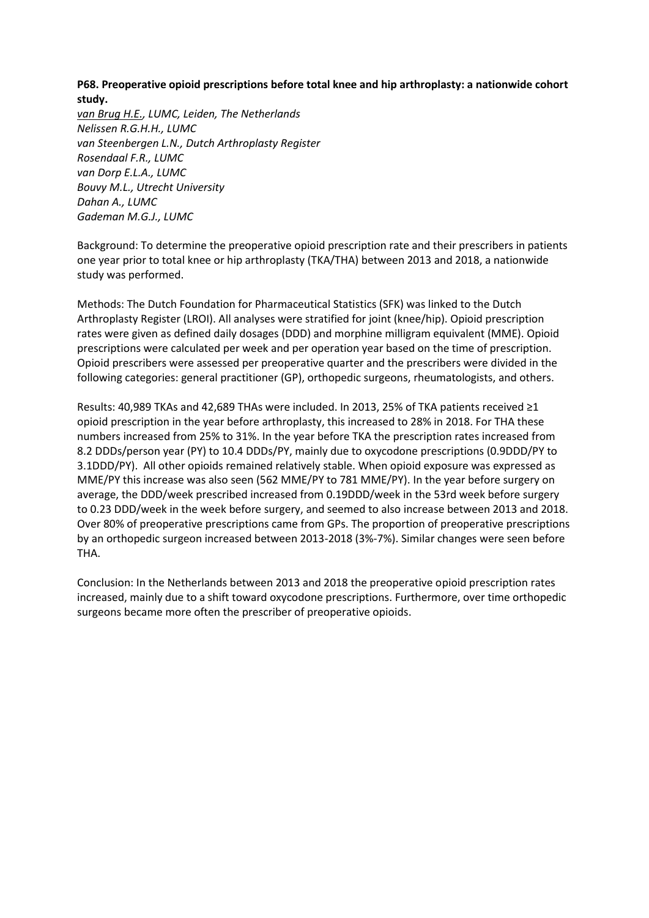# **P68. Preoperative opioid prescriptions before total knee and hip arthroplasty: a nationwide cohort study.**

*van Brug H.E., LUMC, Leiden, The Netherlands Nelissen R.G.H.H., LUMC van Steenbergen L.N., Dutch Arthroplasty Register Rosendaal F.R., LUMC van Dorp E.L.A., LUMC Bouvy M.L., Utrecht University Dahan A., LUMC Gademan M.G.J., LUMC*

Background: To determine the preoperative opioid prescription rate and their prescribers in patients one year prior to total knee or hip arthroplasty (TKA/THA) between 2013 and 2018, a nationwide study was performed.

Methods: The Dutch Foundation for Pharmaceutical Statistics (SFK) was linked to the Dutch Arthroplasty Register (LROI). All analyses were stratified for joint (knee/hip). Opioid prescription rates were given as defined daily dosages (DDD) and morphine milligram equivalent (MME). Opioid prescriptions were calculated per week and per operation year based on the time of prescription. Opioid prescribers were assessed per preoperative quarter and the prescribers were divided in the following categories: general practitioner (GP), orthopedic surgeons, rheumatologists, and others.

Results: 40,989 TKAs and 42,689 THAs were included. In 2013, 25% of TKA patients received ≥1 opioid prescription in the year before arthroplasty, this increased to 28% in 2018. For THA these numbers increased from 25% to 31%. In the year before TKA the prescription rates increased from 8.2 DDDs/person year (PY) to 10.4 DDDs/PY, mainly due to oxycodone prescriptions (0.9DDD/PY to 3.1DDD/PY). All other opioids remained relatively stable. When opioid exposure was expressed as MME/PY this increase was also seen (562 MME/PY to 781 MME/PY). In the year before surgery on average, the DDD/week prescribed increased from 0.19DDD/week in the 53rd week before surgery to 0.23 DDD/week in the week before surgery, and seemed to also increase between 2013 and 2018. Over 80% of preoperative prescriptions came from GPs. The proportion of preoperative prescriptions by an orthopedic surgeon increased between 2013-2018 (3%-7%). Similar changes were seen before THA.

Conclusion: In the Netherlands between 2013 and 2018 the preoperative opioid prescription rates increased, mainly due to a shift toward oxycodone prescriptions. Furthermore, over time orthopedic surgeons became more often the prescriber of preoperative opioids.